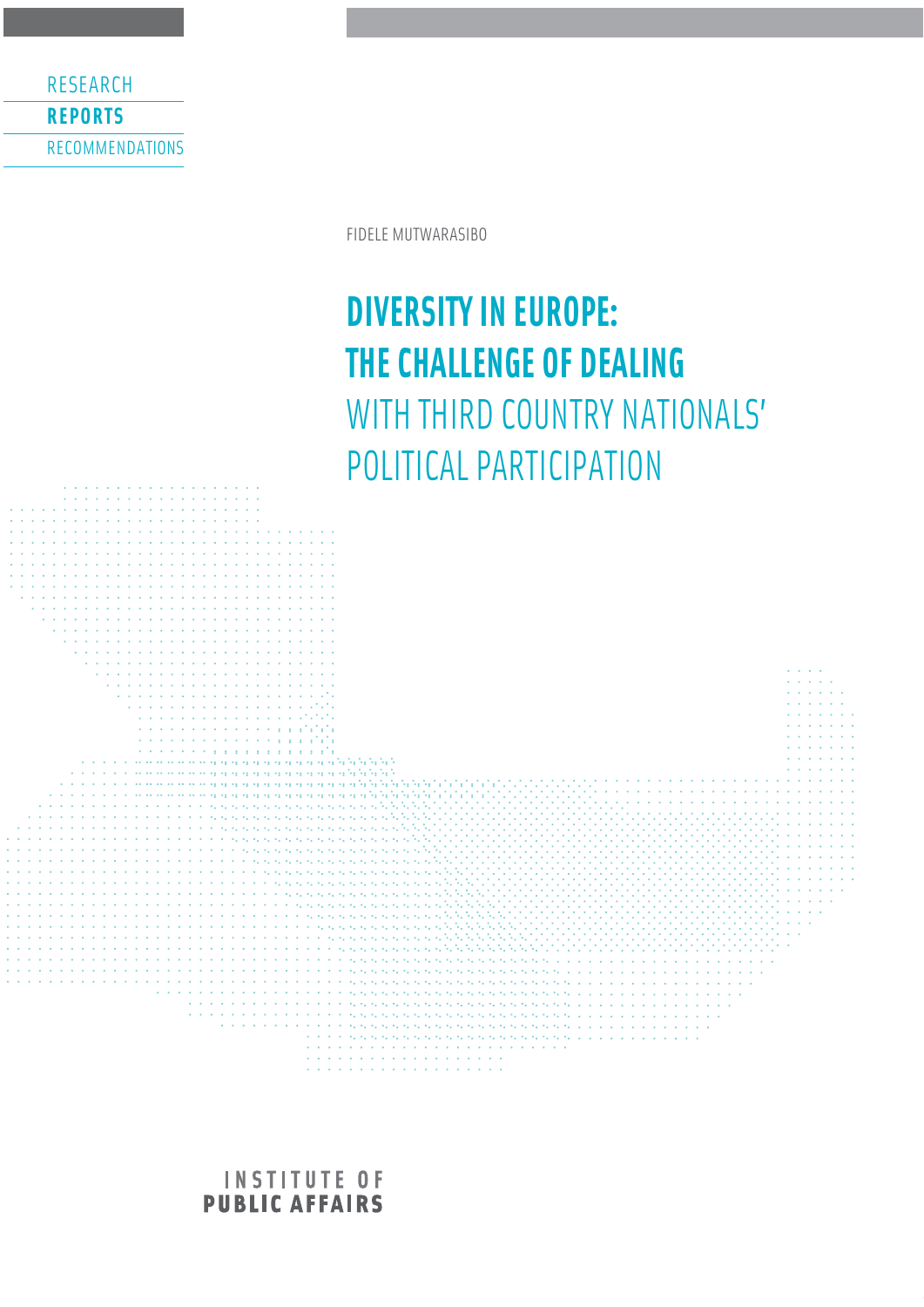RESEARCH **REPORTS** RECOMMENDATIONS

FIDELE MUTWARASIBO

# **DIVERSITY IN EUROPE: THE CHALLENGE OF DEALING**  WITH THIRD COUNTRY NATIONALS' POLITICAL PARTICIPATION



**INSTITUTE OF PUBLIC AFFAIRS**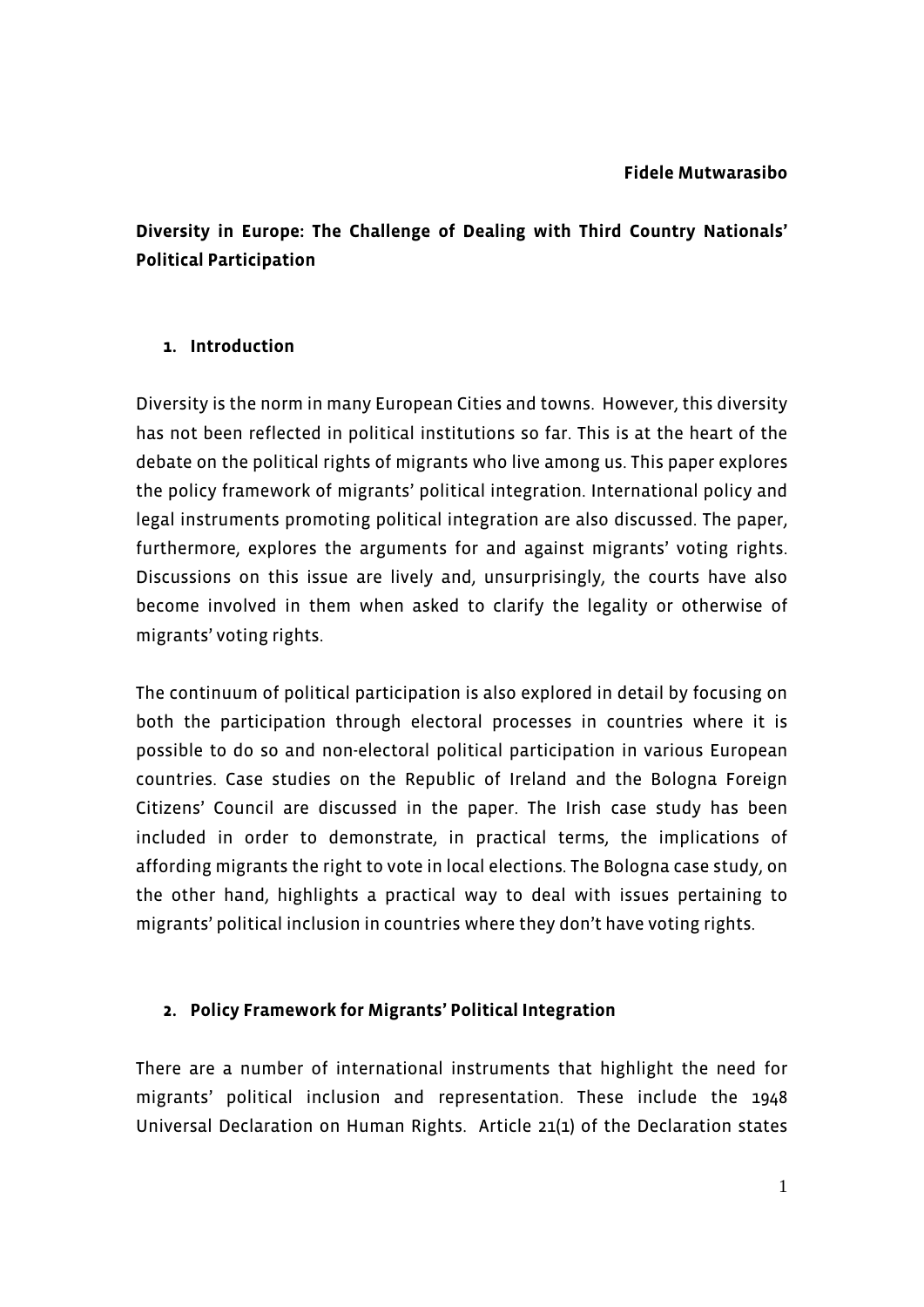# **Diversity in Europe: The Challenge of Dealing with Third Country Nationals' Political Participation**

#### **1. Introduction**

Diversity is the norm in many European Cities and towns. However, this diversity has not been reflected in political institutions so far. This is at the heart of the debate on the political rights of migrants who live among us. This paper explores the policy framework of migrants' political integration. International policy and legal instruments promoting political integration are also discussed. The paper, furthermore, explores the arguments for and against migrants' voting rights. Discussions on this issue are lively and, unsurprisingly, the courts have also become involved in them when asked to clarify the legality or otherwise of migrants' voting rights.

The continuum of political participation is also explored in detail by focusing on both the participation through electoral processes in countries where it is possible to do so and non-electoral political participation in various European countries. Case studies on the Republic of Ireland and the Bologna Foreign Citizens' Council are discussed in the paper. The Irish case study has been included in order to demonstrate, in practical terms, the implications of affording migrants the right to vote in local elections. The Bologna case study, on the other hand, highlights a practical way to deal with issues pertaining to migrants' political inclusion in countries where they don't have voting rights.

#### **2. Policy Framework for Migrants' Political Integration**

There are a number of international instruments that highlight the need for migrants' political inclusion and representation. These include the 1948 Universal Declaration on Human Rights. Article 21(1) of the Declaration states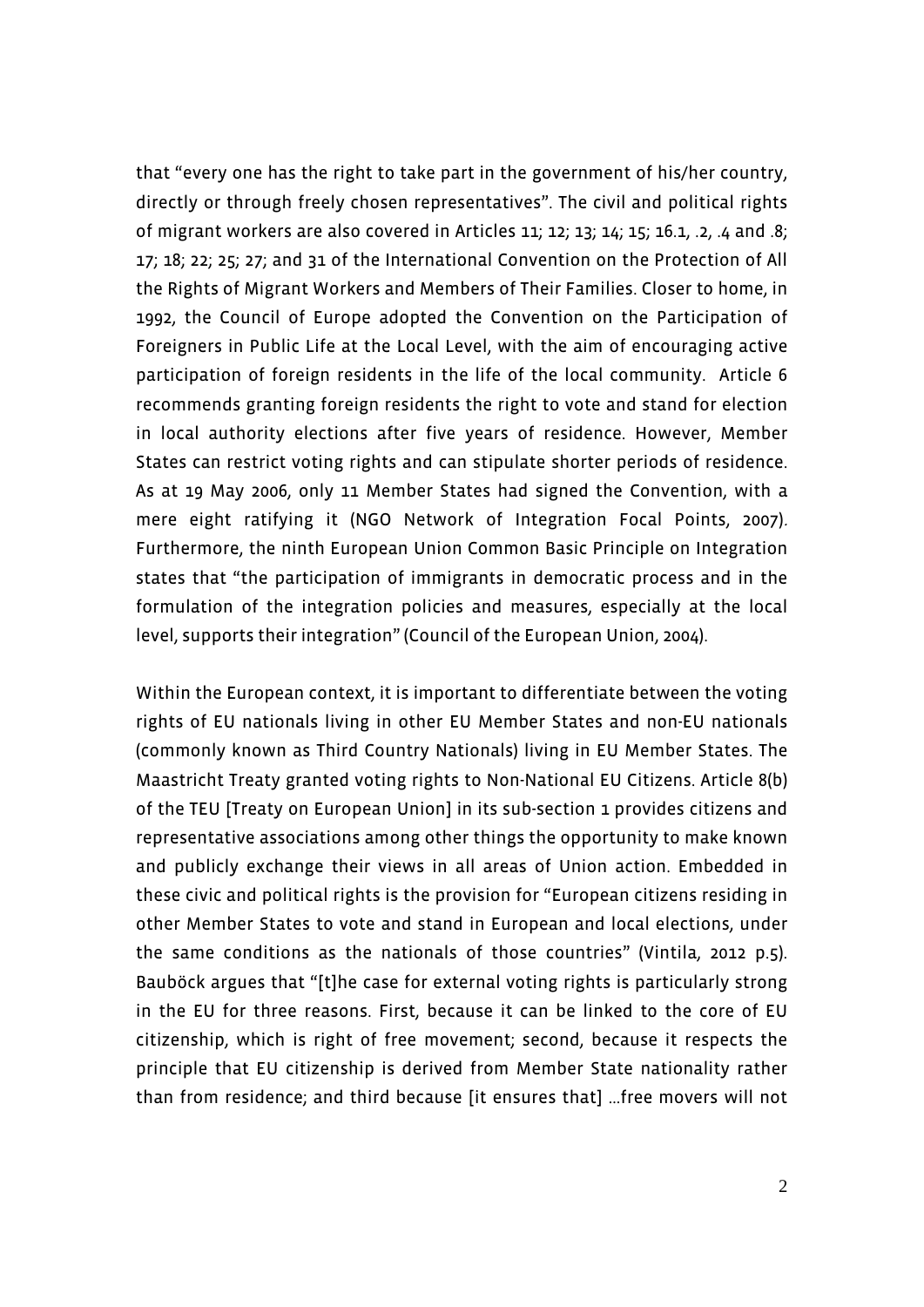that "every one has the right to take part in the government of his/her country, directly or through freely chosen representatives". The civil and political rights of migrant workers are also covered in Articles 11; 12; 13; 14; 15; 16.1, .2, .4 and .8; 17; 18; 22; 25; 27; and 31 of the International Convention on the Protection of All the Rights of Migrant Workers and Members of Their Families. Closer to home, in 1992, the Council of Europe adopted the Convention on the Participation of Foreigners in Public Life at the Local Level, with the aim of encouraging active participation of foreign residents in the life of the local community. Article 6 recommends granting foreign residents the right to vote and stand for election in local authority elections after five years of residence. However, Member States can restrict voting rights and can stipulate shorter periods of residence. As at 19 May 2006, only 11 Member States had signed the Convention, with a mere eight ratifying it (NGO Network of Integration Focal Points, 2007). Furthermore, the ninth European Union Common Basic Principle on Integration states that "the participation of immigrants in democratic process and in the formulation of the integration policies and measures, especially at the local level, supports their integration" (Council of the European Union, 2004).

Within the European context, it is important to differentiate between the voting rights of EU nationals living in other EU Member States and non-EU nationals (commonly known as Third Country Nationals) living in EU Member States. The Maastricht Treaty granted voting rights to Non-National EU Citizens. Article 8(b) of the TEU [Treaty on European Union] in its sub-section 1 provides citizens and representative associations among other things the opportunity to make known and publicly exchange their views in all areas of Union action. Embedded in these civic and political rights is the provision for "European citizens residing in other Member States to vote and stand in European and local elections, under the same conditions as the nationals of those countries" (Vintila, 2012 p.5). Bauböck argues that "[t]he case for external voting rights is particularly strong in the EU for three reasons. First, because it can be linked to the core of EU citizenship, which is right of free movement; second, because it respects the principle that EU citizenship is derived from Member State nationality rather than from residence; and third because [it ensures that] …free movers will not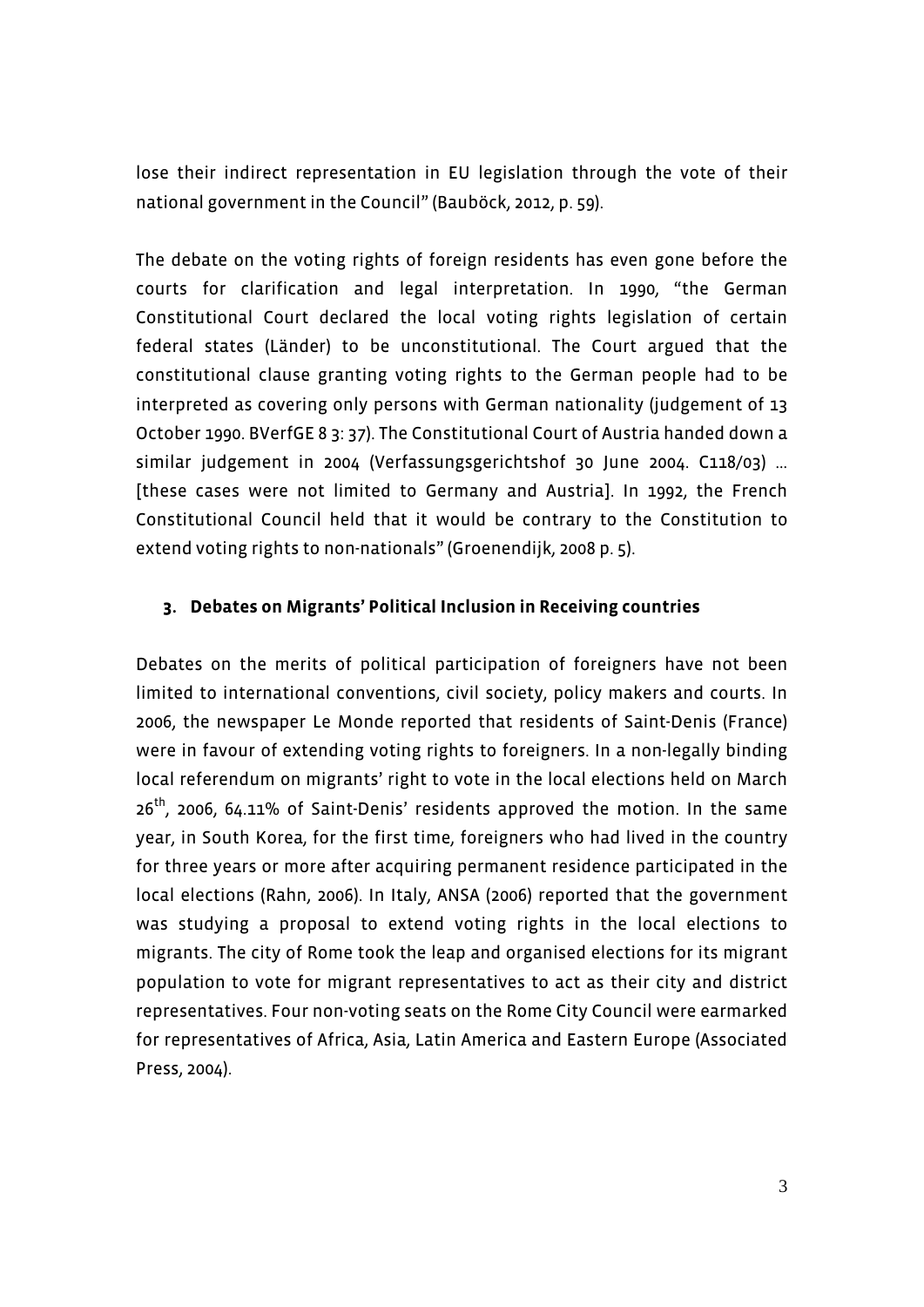lose their indirect representation in EU legislation through the vote of their national government in the Council" (Bauböck, 2012, p. 59).

The debate on the voting rights of foreign residents has even gone before the courts for clarification and legal interpretation. In 1990, "the German Constitutional Court declared the local voting rights legislation of certain federal states (Länder) to be unconstitutional. The Court argued that the constitutional clause granting voting rights to the German people had to be interpreted as covering only persons with German nationality (judgement of 13 October 1990. BVerfGE 8 3: 37). The Constitutional Court of Austria handed down a similar judgement in 2004 (Verfassungsgerichtshof 30 June 2004. C118/03) … [these cases were not limited to Germany and Austria]. In 1992, the French Constitutional Council held that it would be contrary to the Constitution to extend voting rights to non-nationals" (Groenendijk, 2008 p. 5).

#### **3. Debates on Migrants' Political Inclusion in Receiving countries**

Debates on the merits of political participation of foreigners have not been limited to international conventions, civil society, policy makers and courts. In 2006, the newspaper Le Monde reported that residents of Saint-Denis (France) were in favour of extending voting rights to foreigners. In a non-legally binding local referendum on migrants' right to vote in the local elections held on March 26th, 2006, 64.11% of Saint-Denis' residents approved the motion. In the same year, in South Korea, for the first time, foreigners who had lived in the country for three years or more after acquiring permanent residence participated in the local elections (Rahn, 2006). In Italy, ANSA (2006) reported that the government was studying a proposal to extend voting rights in the local elections to migrants. The city of Rome took the leap and organised elections for its migrant population to vote for migrant representatives to act as their city and district representatives. Four non-voting seats on the Rome City Council were earmarked for representatives of Africa, Asia, Latin America and Eastern Europe (Associated Press, 2004).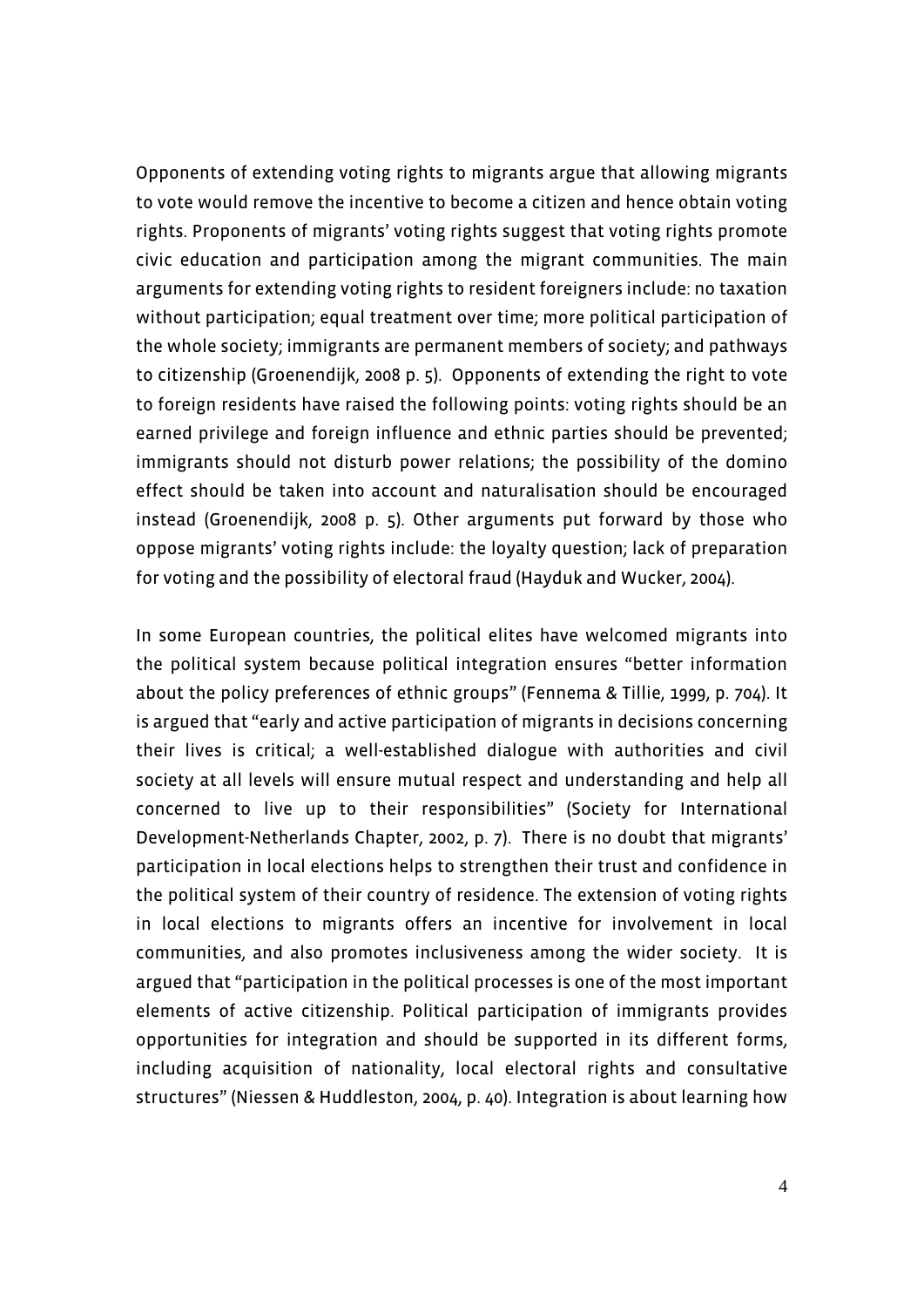Opponents of extending voting rights to migrants argue that allowing migrants to vote would remove the incentive to become a citizen and hence obtain voting rights. Proponents of migrants' voting rights suggest that voting rights promote civic education and participation among the migrant communities. The main arguments for extending voting rights to resident foreigners include: no taxation without participation; equal treatment over time; more political participation of the whole society; immigrants are permanent members of society; and pathways to citizenship (Groenendijk, 2008 p. 5). Opponents of extending the right to vote to foreign residents have raised the following points: voting rights should be an earned privilege and foreign influence and ethnic parties should be prevented; immigrants should not disturb power relations; the possibility of the domino effect should be taken into account and naturalisation should be encouraged instead (Groenendijk, 2008 p. 5). Other arguments put forward by those who oppose migrants' voting rights include: the loyalty question; lack of preparation for voting and the possibility of electoral fraud (Hayduk and Wucker, 2004).

In some European countries, the political elites have welcomed migrants into the political system because political integration ensures "better information about the policy preferences of ethnic groups" (Fennema & Tillie, 1999, p. 704). It is argued that "early and active participation of migrants in decisions concerning their lives is critical; a well-established dialogue with authorities and civil society at all levels will ensure mutual respect and understanding and help all concerned to live up to their responsibilities" (Society for International Development-Netherlands Chapter, 2002, p. 7). There is no doubt that migrants' participation in local elections helps to strengthen their trust and confidence in the political system of their country of residence. The extension of voting rights in local elections to migrants offers an incentive for involvement in local communities, and also promotes inclusiveness among the wider society. It is argued that "participation in the political processes is one of the most important elements of active citizenship. Political participation of immigrants provides opportunities for integration and should be supported in its different forms, including acquisition of nationality, local electoral rights and consultative structures" (Niessen & Huddleston, 2004, p. 40). Integration is about learning how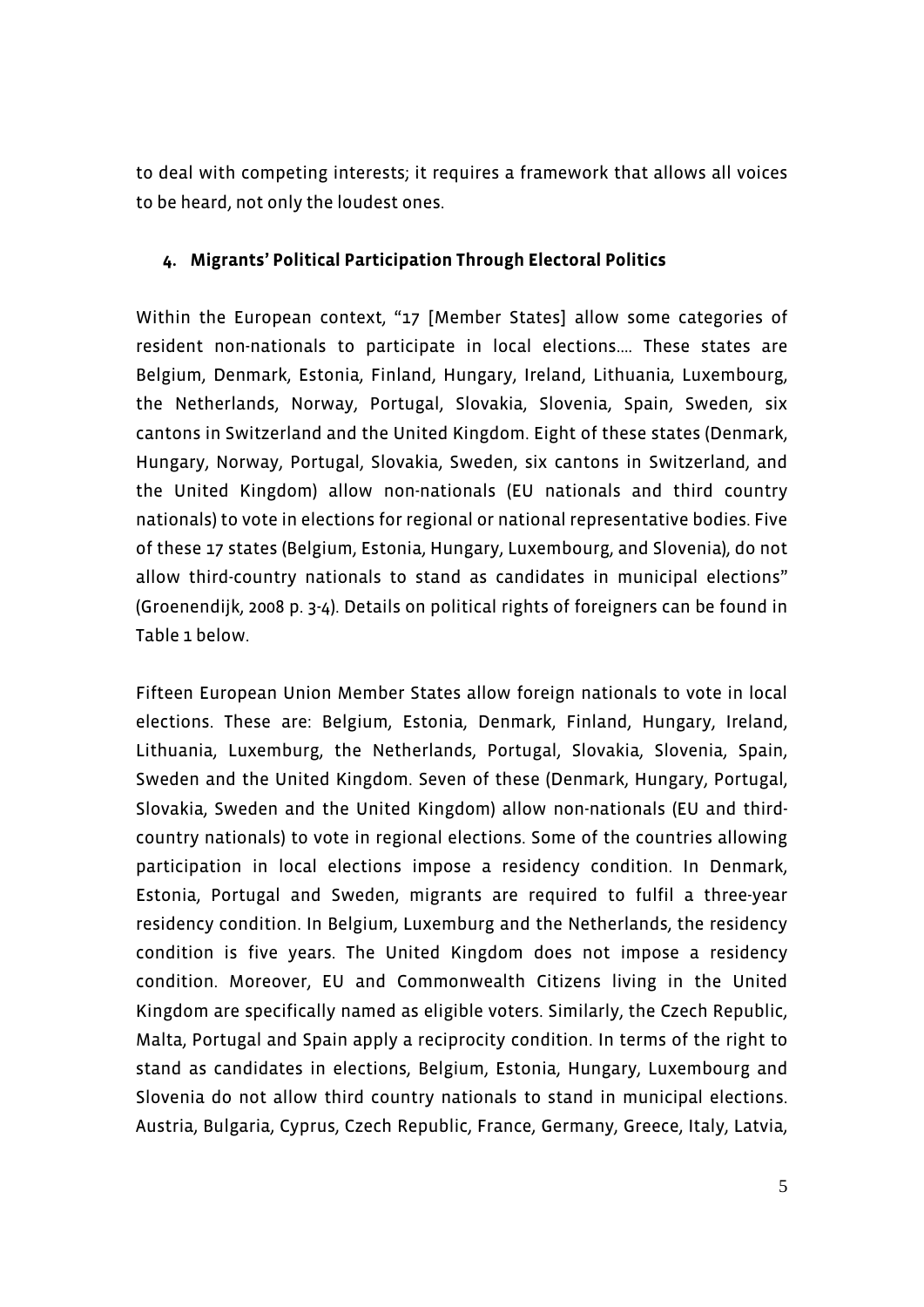to deal with competing interests; it requires a framework that allows all voices to be heard, not only the loudest ones.

#### **4. Migrants' Political Participation Through Electoral Politics**

Within the European context, "17 [Member States] allow some categories of resident non-nationals to participate in local elections.… These states are Belgium, Denmark, Estonia, Finland, Hungary, Ireland, Lithuania, Luxembourg, the Netherlands, Norway, Portugal, Slovakia, Slovenia, Spain, Sweden, six cantons in Switzerland and the United Kingdom. Eight of these states (Denmark, Hungary, Norway, Portugal, Slovakia, Sweden, six cantons in Switzerland, and the United Kingdom) allow non-nationals (EU nationals and third country nationals) to vote in elections for regional or national representative bodies. Five of these 17 states (Belgium, Estonia, Hungary, Luxembourg, and Slovenia), do not allow third-country nationals to stand as candidates in municipal elections" (Groenendijk, 2008 p. 3-4). Details on political rights of foreigners can be found in Table 1 below.

Fifteen European Union Member States allow foreign nationals to vote in local elections. These are: Belgium, Estonia, Denmark, Finland, Hungary, Ireland, Lithuania, Luxemburg, the Netherlands, Portugal, Slovakia, Slovenia, Spain, Sweden and the United Kingdom. Seven of these (Denmark, Hungary, Portugal, Slovakia, Sweden and the United Kingdom) allow non-nationals (EU and thirdcountry nationals) to vote in regional elections. Some of the countries allowing participation in local elections impose a residency condition. In Denmark, Estonia, Portugal and Sweden, migrants are required to fulfil a three-year residency condition. In Belgium, Luxemburg and the Netherlands, the residency condition is five years. The United Kingdom does not impose a residency condition. Moreover, EU and Commonwealth Citizens living in the United Kingdom are specifically named as eligible voters. Similarly, the Czech Republic, Malta, Portugal and Spain apply a reciprocity condition. In terms of the right to stand as candidates in elections, Belgium, Estonia, Hungary, Luxembourg and Slovenia do not allow third country nationals to stand in municipal elections. Austria, Bulgaria, Cyprus, Czech Republic, France, Germany, Greece, Italy, Latvia,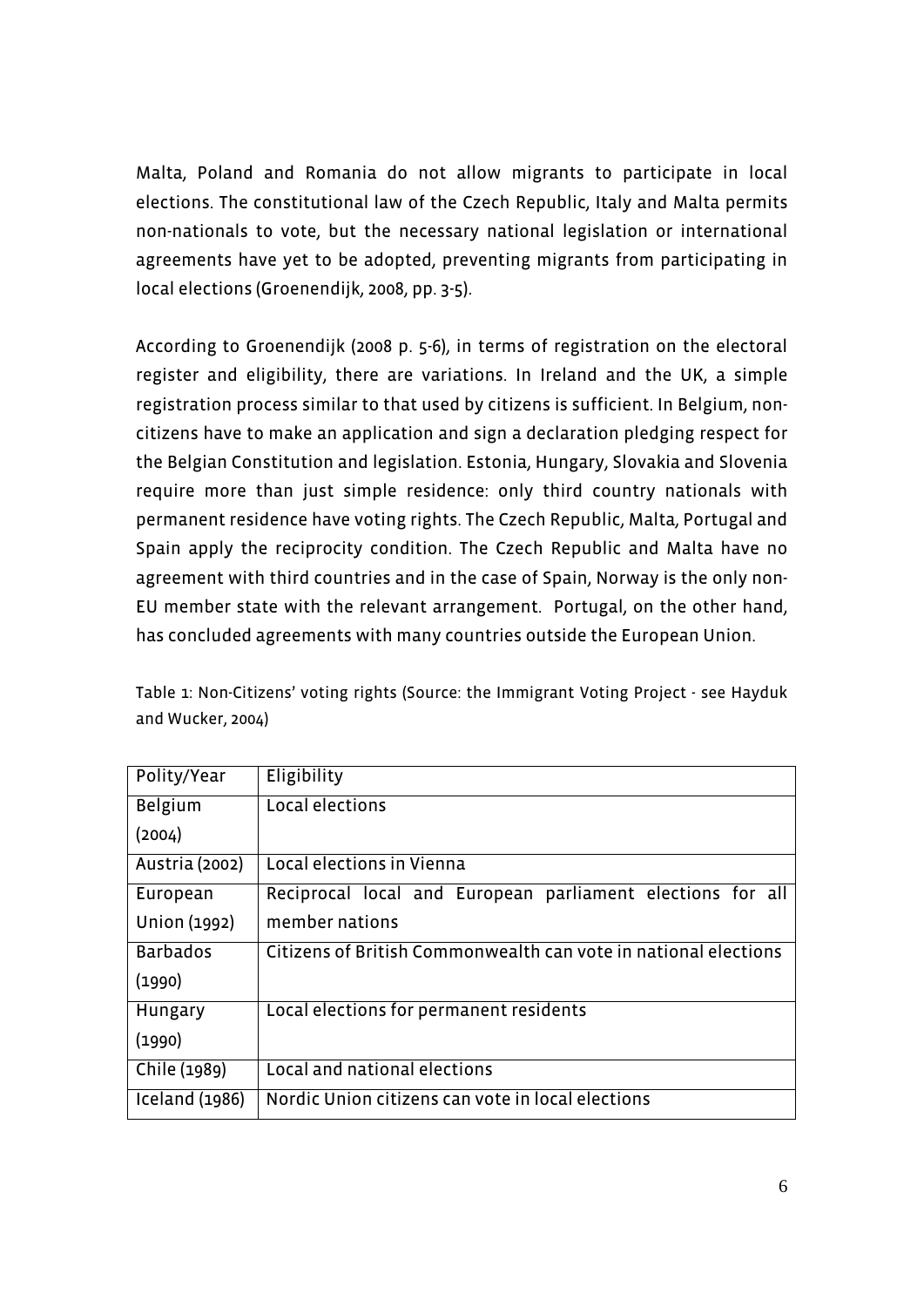Malta, Poland and Romania do not allow migrants to participate in local elections. The constitutional law of the Czech Republic, Italy and Malta permits non-nationals to vote, but the necessary national legislation or international agreements have yet to be adopted, preventing migrants from participating in local elections (Groenendijk, 2008, pp. 3-5).

According to Groenendijk (2008 p. 5-6), in terms of registration on the electoral register and eligibility, there are variations. In Ireland and the UK, a simple registration process similar to that used by citizens is sufficient. In Belgium, noncitizens have to make an application and sign a declaration pledging respect for the Belgian Constitution and legislation. Estonia, Hungary, Slovakia and Slovenia require more than just simple residence: only third country nationals with permanent residence have voting rights. The Czech Republic, Malta, Portugal and Spain apply the reciprocity condition. The Czech Republic and Malta have no agreement with third countries and in the case of Spain, Norway is the only non-EU member state with the relevant arrangement. Portugal, on the other hand, has concluded agreements with many countries outside the European Union.

Table 1: Non-Citizens' voting rights (Source: the Immigrant Voting Project - see Hayduk and Wucker, 2004)

| Polity/Year     | Eligibility                                                     |
|-----------------|-----------------------------------------------------------------|
| <b>Belgium</b>  | Local elections                                                 |
| (2004)          |                                                                 |
| Austria (2002)  | Local elections in Vienna                                       |
| European        | Reciprocal local and European parliament elections for all      |
| Union (1992)    | member nations                                                  |
| <b>Barbados</b> | Citizens of British Commonwealth can vote in national elections |
| (1990)          |                                                                 |
| Hungary         | Local elections for permanent residents                         |
| (1990)          |                                                                 |
| Chile (1989)    | Local and national elections                                    |
| Iceland (1986)  | Nordic Union citizens can vote in local elections               |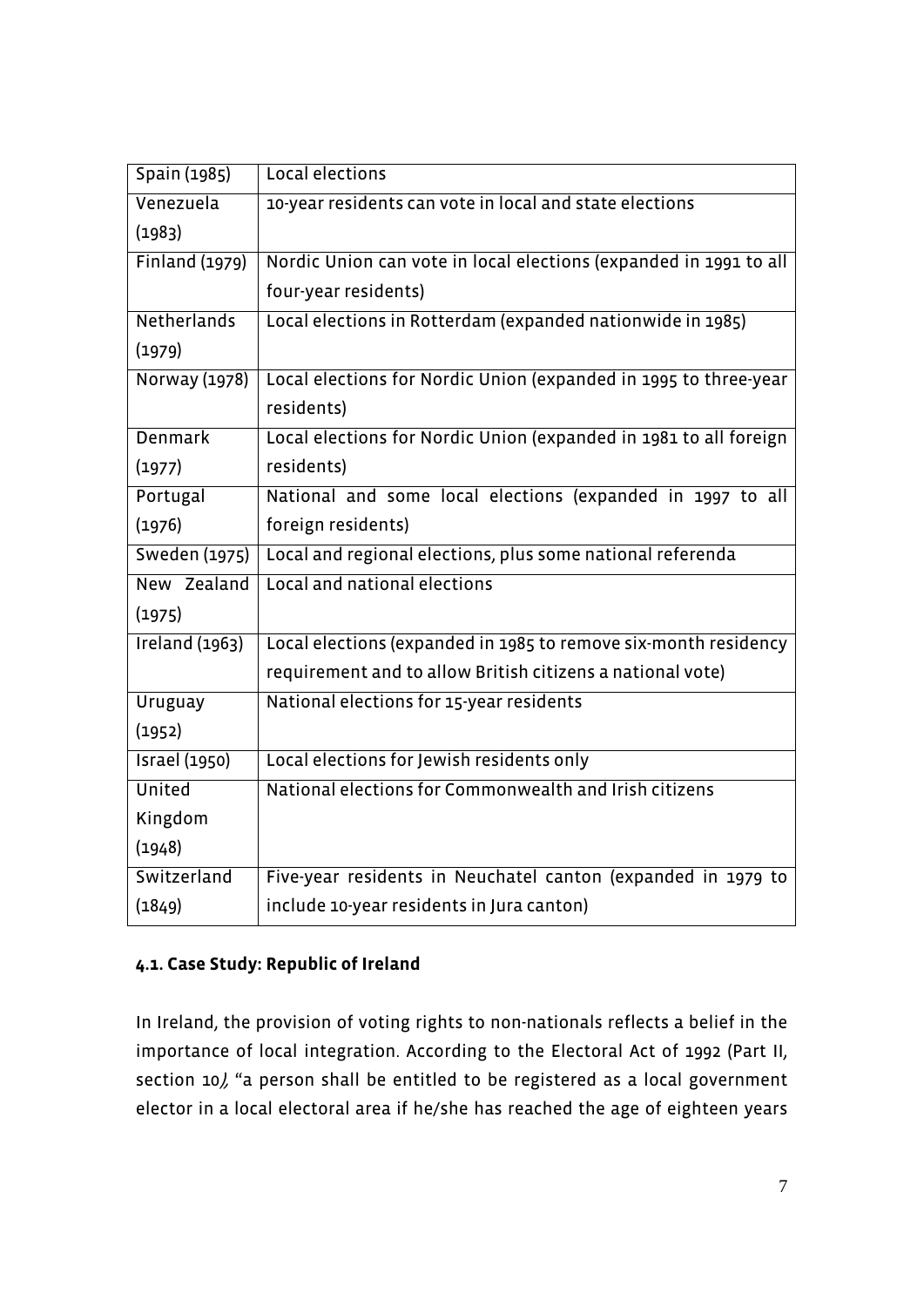| Spain (1985)          | Local elections                                                   |
|-----------------------|-------------------------------------------------------------------|
| Venezuela             | 10-year residents can vote in local and state elections           |
| (1983)                |                                                                   |
| Finland (1979)        | Nordic Union can vote in local elections (expanded in 1991 to all |
|                       | four-year residents)                                              |
| Netherlands           | Local elections in Rotterdam (expanded nationwide in 1985)        |
| (1979)                |                                                                   |
| Norway (1978)         | Local elections for Nordic Union (expanded in 1995 to three-year  |
|                       | residents)                                                        |
| <b>Denmark</b>        | Local elections for Nordic Union (expanded in 1981 to all foreign |
| (1977)                | residents)                                                        |
| Portugal              | National and some local elections (expanded in 1997 to all        |
| (1976)                | foreign residents)                                                |
| Sweden (1975)         | Local and regional elections, plus some national referenda        |
| New Zealand           | Local and national elections                                      |
| (1975)                |                                                                   |
| <b>Ireland</b> (1963) | Local elections (expanded in 1985 to remove six-month residency   |
|                       | requirement and to allow British citizens a national vote)        |
| Uruguay               | National elections for 15-year residents                          |
| (1952)                |                                                                   |
| <b>Israel</b> (1950)  | Local elections for Jewish residents only                         |
| United                | National elections for Commonwealth and Irish citizens            |
| Kingdom               |                                                                   |
| (1948)                |                                                                   |
| Switzerland           | Five-year residents in Neuchatel canton (expanded in 1979 to      |
| (1849)                | include 10-year residents in Jura canton)                         |

# **4.1. Case Study: Republic of Ireland**

In Ireland, the provision of voting rights to non-nationals reflects a belief in the importance of local integration. According to the Electoral Act of 1992 (Part II, section 10), "a person shall be entitled to be registered as a local government elector in a local electoral area if he/she has reached the age of eighteen years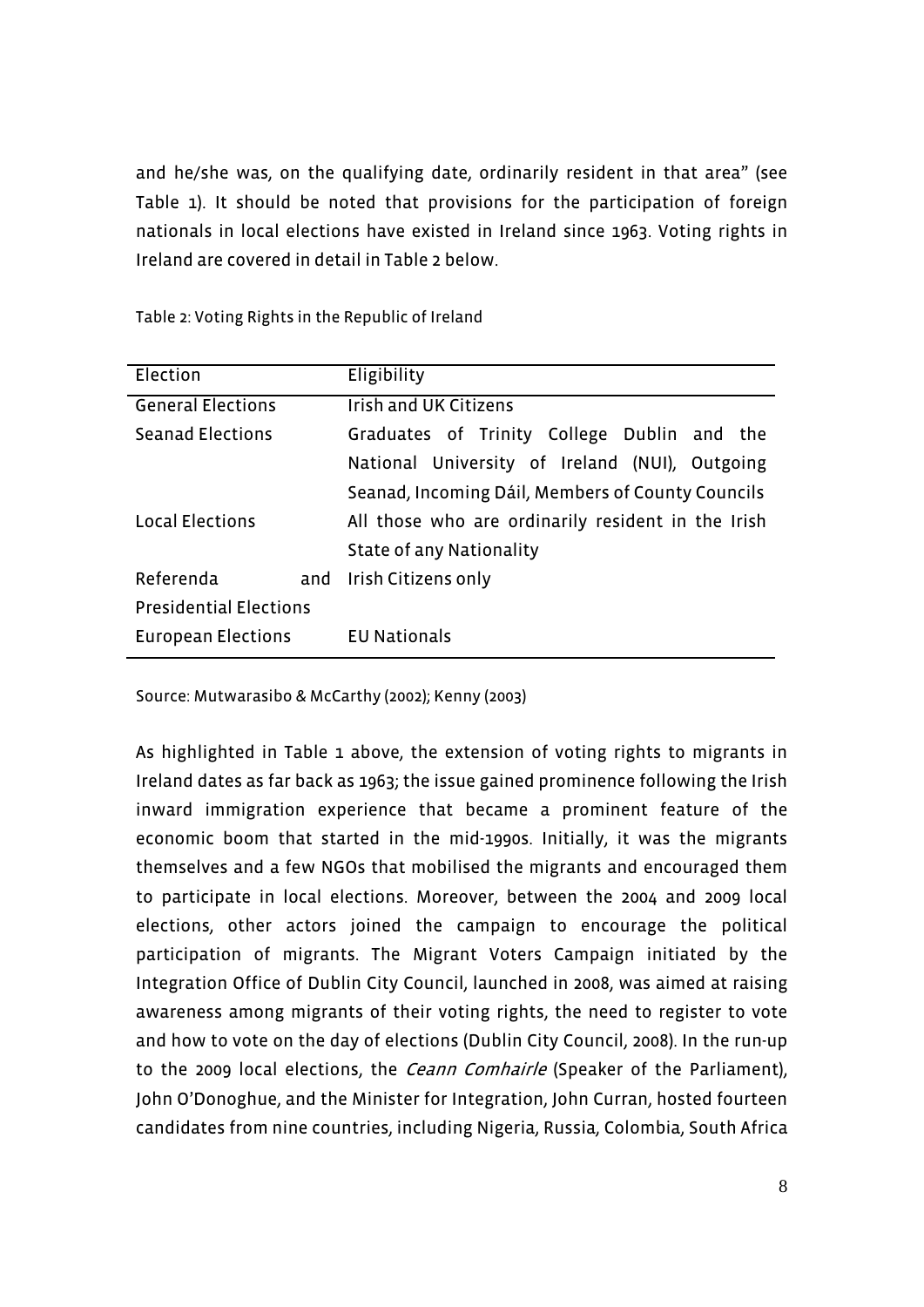and he/she was, on the qualifying date, ordinarily resident in that area" (see Table 1). It should be noted that provisions for the participation of foreign nationals in local elections have existed in Ireland since 1963. Voting rights in Ireland are covered in detail in Table 2 below.

| Election                      |  | Eligibility                                        |  |  |  |  |
|-------------------------------|--|----------------------------------------------------|--|--|--|--|
| <b>General Elections</b>      |  | Irish and UK Citizens                              |  |  |  |  |
| Seanad Elections              |  | Graduates of Trinity College Dublin and the        |  |  |  |  |
|                               |  | National University of Ireland (NUI), Outgoing     |  |  |  |  |
|                               |  | Seanad, Incoming Dáil, Members of County Councils  |  |  |  |  |
| <b>Local Elections</b>        |  | All those who are ordinarily resident in the Irish |  |  |  |  |
|                               |  | State of any Nationality                           |  |  |  |  |
| Referenda                     |  | and Irish Citizens only                            |  |  |  |  |
| <b>Presidential Elections</b> |  |                                                    |  |  |  |  |
| European Elections            |  | <b>EU Nationals</b>                                |  |  |  |  |

Table 2: Voting Rights in the Republic of Ireland

Source: Mutwarasibo & McCarthy (2002); Kenny (2003)

As highlighted in Table 1 above, the extension of voting rights to migrants in Ireland dates as far back as 1963; the issue gained prominence following the Irish inward immigration experience that became a prominent feature of the economic boom that started in the mid-1990s. Initially, it was the migrants themselves and a few NGOs that mobilised the migrants and encouraged them to participate in local elections. Moreover, between the 2004 and 2009 local elections, other actors joined the campaign to encourage the political participation of migrants. The Migrant Voters Campaign initiated by the Integration Office of Dublin City Council, launched in 2008, was aimed at raising awareness among migrants of their voting rights, the need to register to vote and how to vote on the day of elections (Dublin City Council, 2008). In the run-up to the 2009 local elections, the *Ceann Comhairle* (Speaker of the Parliament), John O'Donoghue, and the Minister for Integration, John Curran, hosted fourteen candidates from nine countries, including Nigeria, Russia, Colombia, South Africa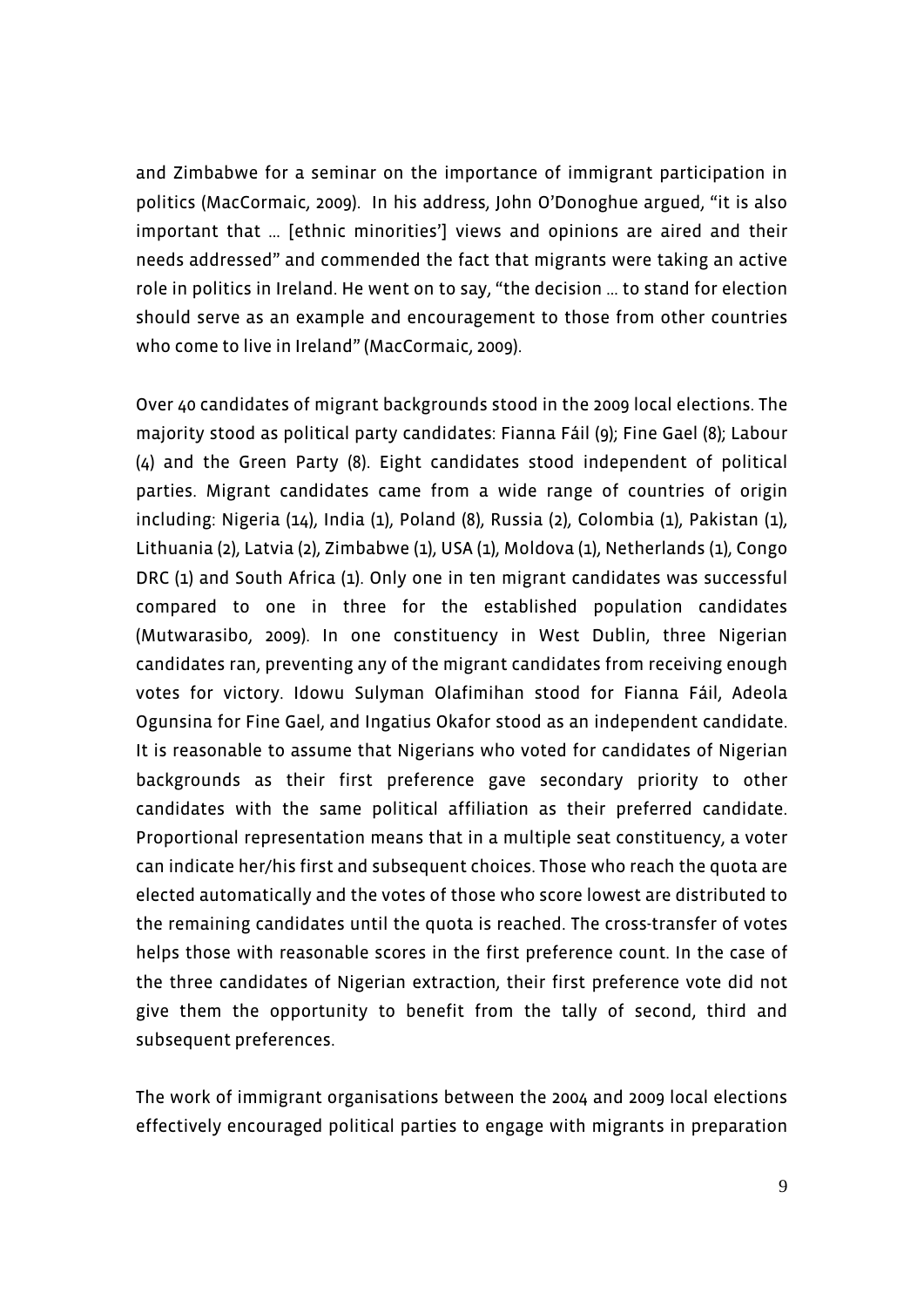and Zimbabwe for a seminar on the importance of immigrant participation in politics (MacCormaic, 2009). In his address, John O'Donoghue argued, "it is also important that … [ethnic minorities'] views and opinions are aired and their needs addressed" and commended the fact that migrants were taking an active role in politics in Ireland. He went on to say, "the decision … to stand for election should serve as an example and encouragement to those from other countries who come to live in Ireland" (MacCormaic, 2009).

Over 40 candidates of migrant backgrounds stood in the 2009 local elections. The majority stood as political party candidates: Fianna Fáil (9); Fine Gael (8); Labour (4) and the Green Party (8). Eight candidates stood independent of political parties. Migrant candidates came from a wide range of countries of origin including: Nigeria (14), India (1), Poland (8), Russia (2), Colombia (1), Pakistan (1), Lithuania (2), Latvia (2), Zimbabwe (1), USA (1), Moldova (1), Netherlands (1), Congo DRC (1) and South Africa (1). Only one in ten migrant candidates was successful compared to one in three for the established population candidates (Mutwarasibo, 2009). In one constituency in West Dublin, three Nigerian candidates ran, preventing any of the migrant candidates from receiving enough votes for victory. Idowu Sulyman Olafimihan stood for Fianna Fáil, Adeola Ogunsina for Fine Gael, and Ingatius Okafor stood as an independent candidate. It is reasonable to assume that Nigerians who voted for candidates of Nigerian backgrounds as their first preference gave secondary priority to other candidates with the same political affiliation as their preferred candidate. Proportional representation means that in a multiple seat constituency, a voter can indicate her/his first and subsequent choices. Those who reach the quota are elected automatically and the votes of those who score lowest are distributed to the remaining candidates until the quota is reached. The cross-transfer of votes helps those with reasonable scores in the first preference count. In the case of the three candidates of Nigerian extraction, their first preference vote did not give them the opportunity to benefit from the tally of second, third and subsequent preferences.

The work of immigrant organisations between the 2004 and 2009 local elections effectively encouraged political parties to engage with migrants in preparation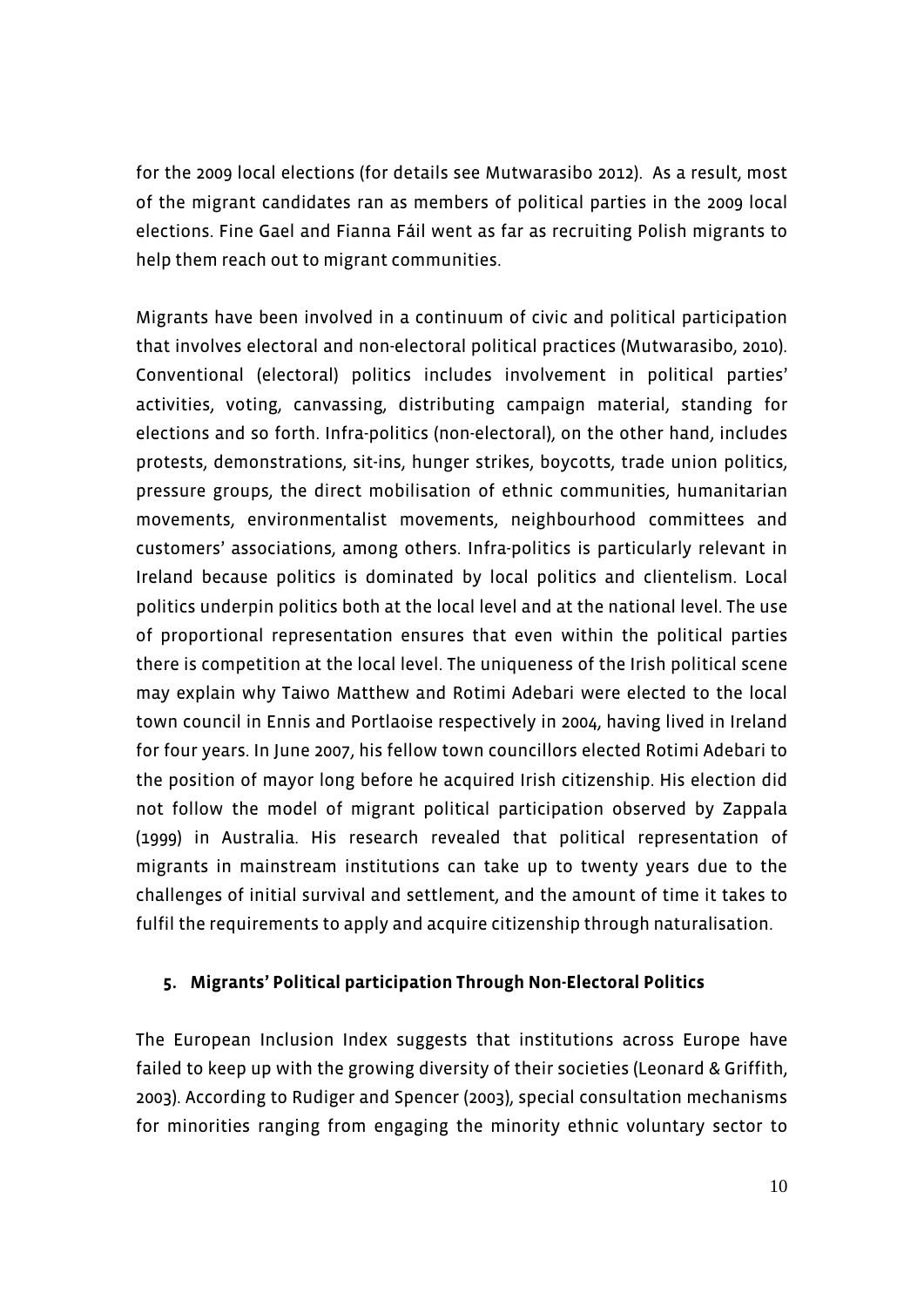for the 2009 local elections (for details see Mutwarasibo 2012). As a result, most of the migrant candidates ran as members of political parties in the 2009 local elections. Fine Gael and Fianna Fáil went as far as recruiting Polish migrants to help them reach out to migrant communities.

Migrants have been involved in a continuum of civic and political participation that involves electoral and non-electoral political practices (Mutwarasibo, 2010). Conventional (electoral) politics includes involvement in political parties' activities, voting, canvassing, distributing campaign material, standing for elections and so forth. Infra-politics (non-electoral), on the other hand, includes protests, demonstrations, sit-ins, hunger strikes, boycotts, trade union politics, pressure groups, the direct mobilisation of ethnic communities, humanitarian movements, environmentalist movements, neighbourhood committees and customers' associations, among others. Infra-politics is particularly relevant in Ireland because politics is dominated by local politics and clientelism. Local politics underpin politics both at the local level and at the national level. The use of proportional representation ensures that even within the political parties there is competition at the local level. The uniqueness of the Irish political scene may explain why Taiwo Matthew and Rotimi Adebari were elected to the local town council in Ennis and Portlaoise respectively in 2004, having lived in Ireland for four years. In June 2007, his fellow town councillors elected Rotimi Adebari to the position of mayor long before he acquired Irish citizenship. His election did not follow the model of migrant political participation observed by Zappala (1999) in Australia. His research revealed that political representation of migrants in mainstream institutions can take up to twenty years due to the challenges of initial survival and settlement, and the amount of time it takes to fulfil the requirements to apply and acquire citizenship through naturalisation.

#### **5. Migrants' Political participation Through Non-Electoral Politics**

The European Inclusion Index suggests that institutions across Europe have failed to keep up with the growing diversity of their societies (Leonard & Griffith, 2003). According to Rudiger and Spencer (2003), special consultation mechanisms for minorities ranging from engaging the minority ethnic voluntary sector to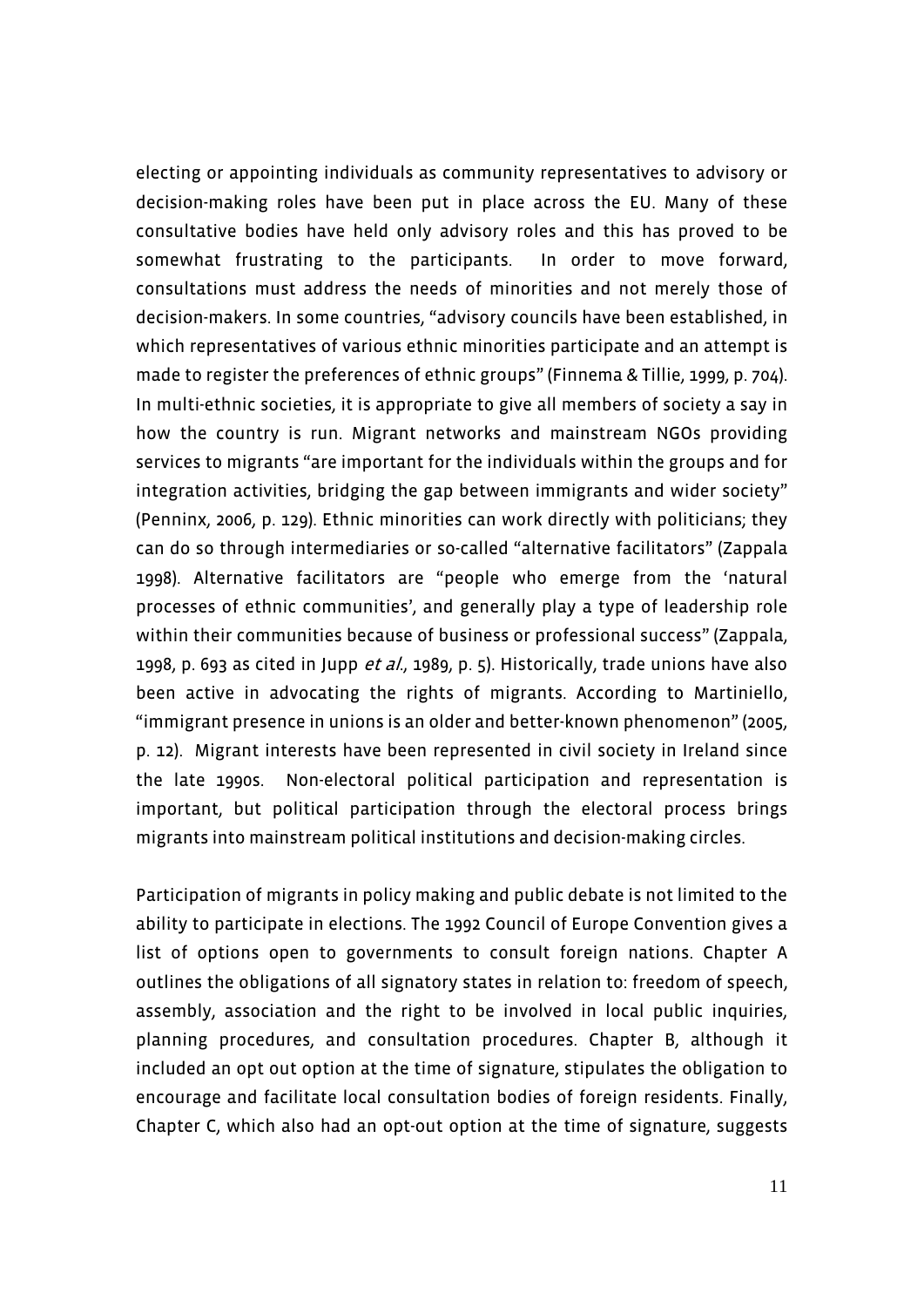electing or appointing individuals as community representatives to advisory or decision-making roles have been put in place across the EU. Many of these consultative bodies have held only advisory roles and this has proved to be somewhat frustrating to the participants. In order to move forward, consultations must address the needs of minorities and not merely those of decision-makers. In some countries, "advisory councils have been established, in which representatives of various ethnic minorities participate and an attempt is made to register the preferences of ethnic groups" (Finnema & Tillie, 1999, p. 704). In multi-ethnic societies, it is appropriate to give all members of society a say in how the country is run. Migrant networks and mainstream NGOs providing services to migrants "are important for the individuals within the groups and for integration activities, bridging the gap between immigrants and wider society" (Penninx, 2006, p. 129). Ethnic minorities can work directly with politicians; they can do so through intermediaries or so-called "alternative facilitators" (Zappala 1998). Alternative facilitators are "people who emerge from the 'natural processes of ethnic communities', and generally play a type of leadership role within their communities because of business or professional success" (Zappala, 1998, p. 693 as cited in Jupp et al., 1989, p. 5). Historically, trade unions have also been active in advocating the rights of migrants. According to Martiniello, "immigrant presence in unions is an older and better-known phenomenon" (2005, p. 12). Migrant interests have been represented in civil society in Ireland since the late 1990s. Non-electoral political participation and representation is important, but political participation through the electoral process brings migrants into mainstream political institutions and decision-making circles.

Participation of migrants in policy making and public debate is not limited to the ability to participate in elections. The 1992 Council of Europe Convention gives a list of options open to governments to consult foreign nations. Chapter A outlines the obligations of all signatory states in relation to: freedom of speech, assembly, association and the right to be involved in local public inquiries, planning procedures, and consultation procedures. Chapter B, although it included an opt out option at the time of signature, stipulates the obligation to encourage and facilitate local consultation bodies of foreign residents. Finally, Chapter C, which also had an opt-out option at the time of signature, suggests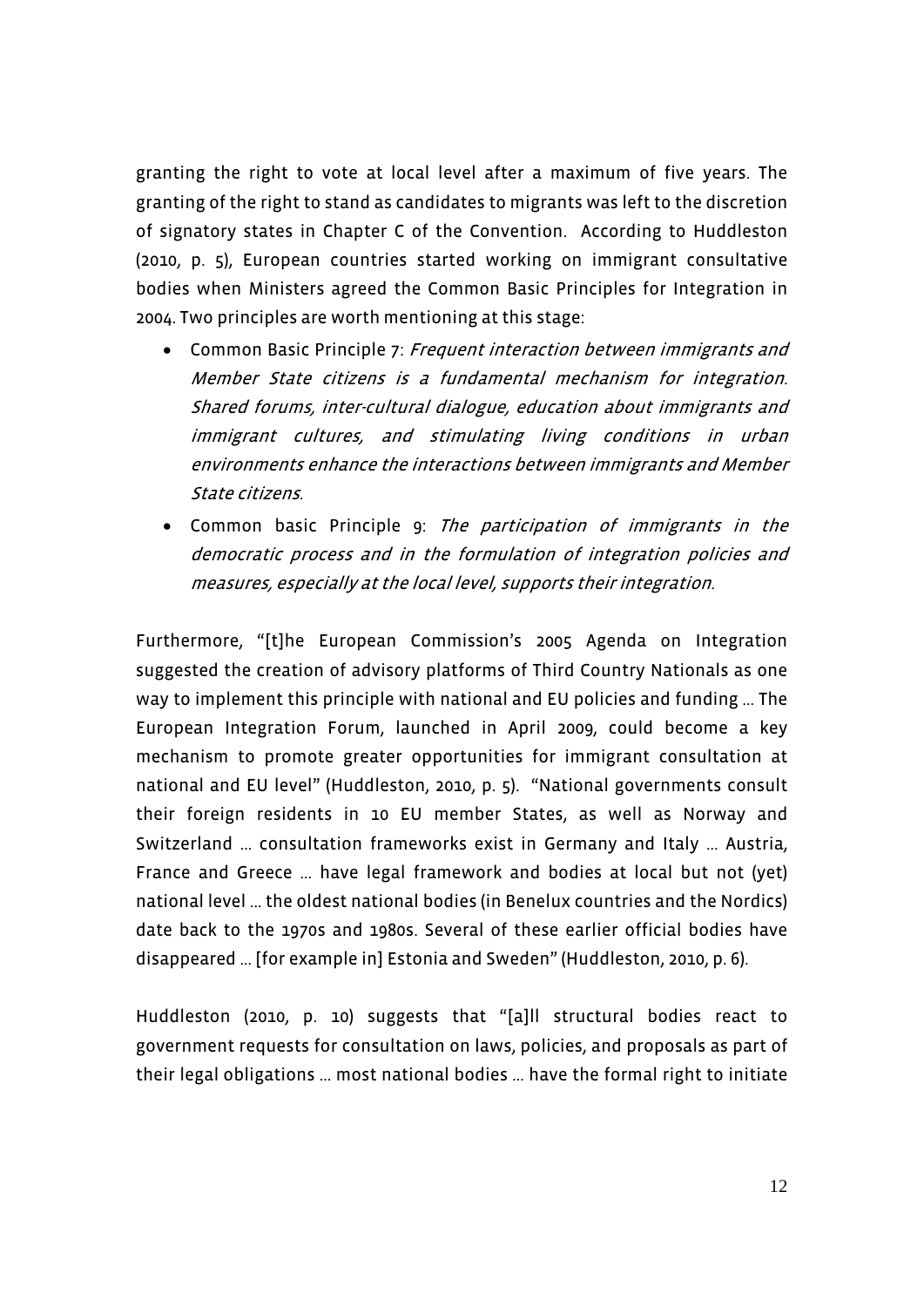granting the right to vote at local level after a maximum of five years. The granting of the right to stand as candidates to migrants was left to the discretion of signatory states in Chapter C of the Convention. According to Huddleston (2010, p. 5), European countries started working on immigrant consultative bodies when Ministers agreed the Common Basic Principles for Integration in 2004. Two principles are worth mentioning at this stage:

- Common Basic Principle 7: Frequent interaction between immigrants and Member State citizens is a fundamental mechanism for integration. Shared forums, inter-cultural dialogue, education about immigrants and immigrant cultures, and stimulating living conditions in urban environments enhance the interactions between immigrants and Member State citizens.
- Common basic Principle 9: The participation of immigrants in the democratic process and in the formulation of integration policies and measures, especially at the local level, supports their integration.

Furthermore, "[t]he European Commission's 2005 Agenda on Integration suggested the creation of advisory platforms of Third Country Nationals as one way to implement this principle with national and EU policies and funding … The European Integration Forum, launched in April 2009, could become a key mechanism to promote greater opportunities for immigrant consultation at national and EU level" (Huddleston, 2010, p. 5). "National governments consult their foreign residents in 10 EU member States, as well as Norway and Switzerland … consultation frameworks exist in Germany and Italy … Austria, France and Greece … have legal framework and bodies at local but not (yet) national level … the oldest national bodies (in Benelux countries and the Nordics) date back to the 1970s and 1980s. Several of these earlier official bodies have disappeared … [for example in] Estonia and Sweden" (Huddleston, 2010, p. 6).

Huddleston (2010, p. 10) suggests that "[a]ll structural bodies react to government requests for consultation on laws, policies, and proposals as part of their legal obligations … most national bodies … have the formal right to initiate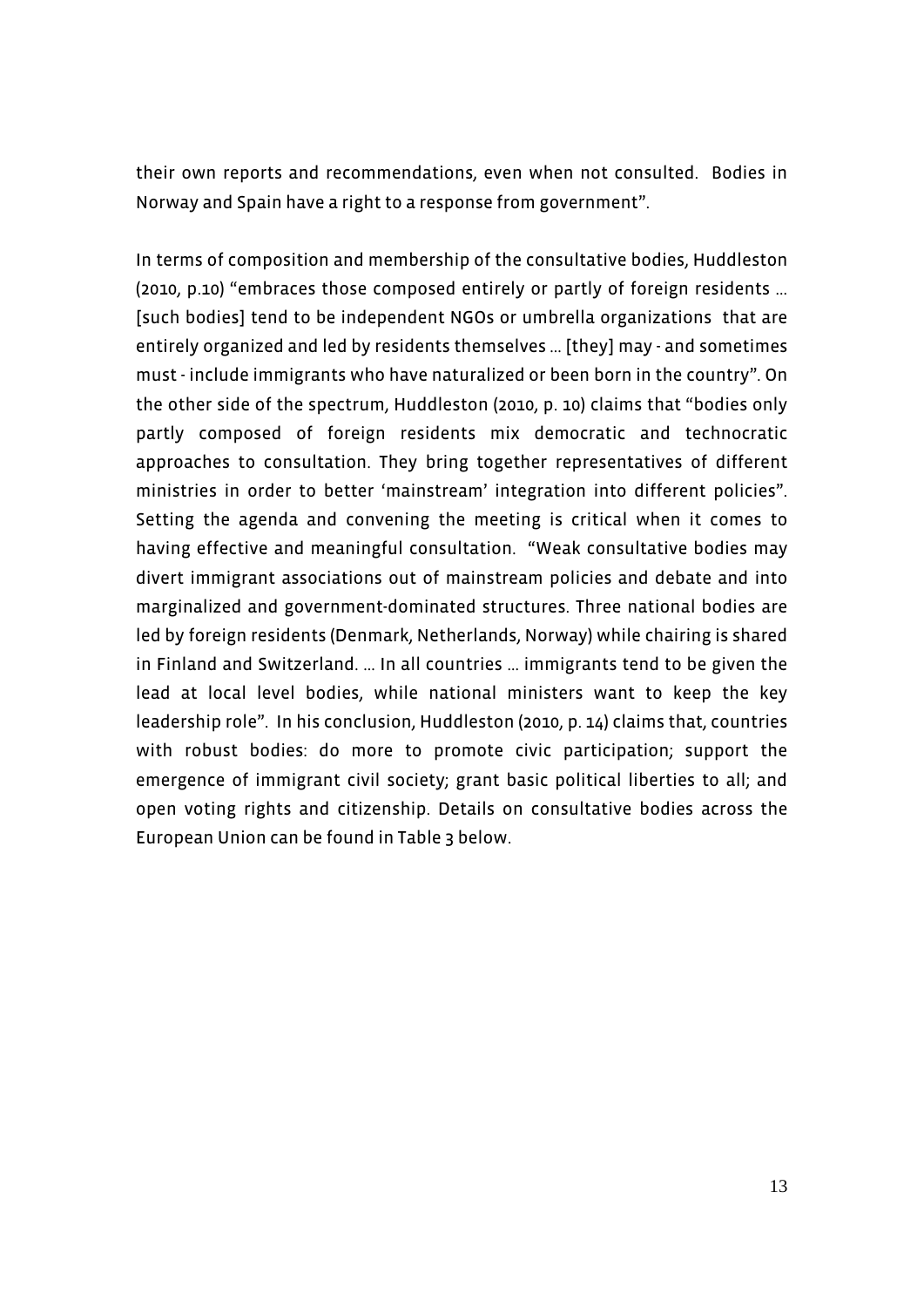their own reports and recommendations, even when not consulted. Bodies in Norway and Spain have a right to a response from government".

In terms of composition and membership of the consultative bodies, Huddleston (2010, p.10) "embraces those composed entirely or partly of foreign residents … [such bodies] tend to be independent NGOs or umbrella organizations that are entirely organized and led by residents themselves … [they] may - and sometimes must - include immigrants who have naturalized or been born in the country". On the other side of the spectrum, Huddleston (2010, p. 10) claims that "bodies only partly composed of foreign residents mix democratic and technocratic approaches to consultation. They bring together representatives of different ministries in order to better 'mainstream' integration into different policies". Setting the agenda and convening the meeting is critical when it comes to having effective and meaningful consultation. "Weak consultative bodies may divert immigrant associations out of mainstream policies and debate and into marginalized and government-dominated structures. Three national bodies are led by foreign residents (Denmark, Netherlands, Norway) while chairing is shared in Finland and Switzerland. … In all countries … immigrants tend to be given the lead at local level bodies, while national ministers want to keep the key leadership role". In his conclusion, Huddleston (2010, p. 14) claims that, countries with robust bodies: do more to promote civic participation; support the emergence of immigrant civil society; grant basic political liberties to all; and open voting rights and citizenship. Details on consultative bodies across the European Union can be found in Table 3 below.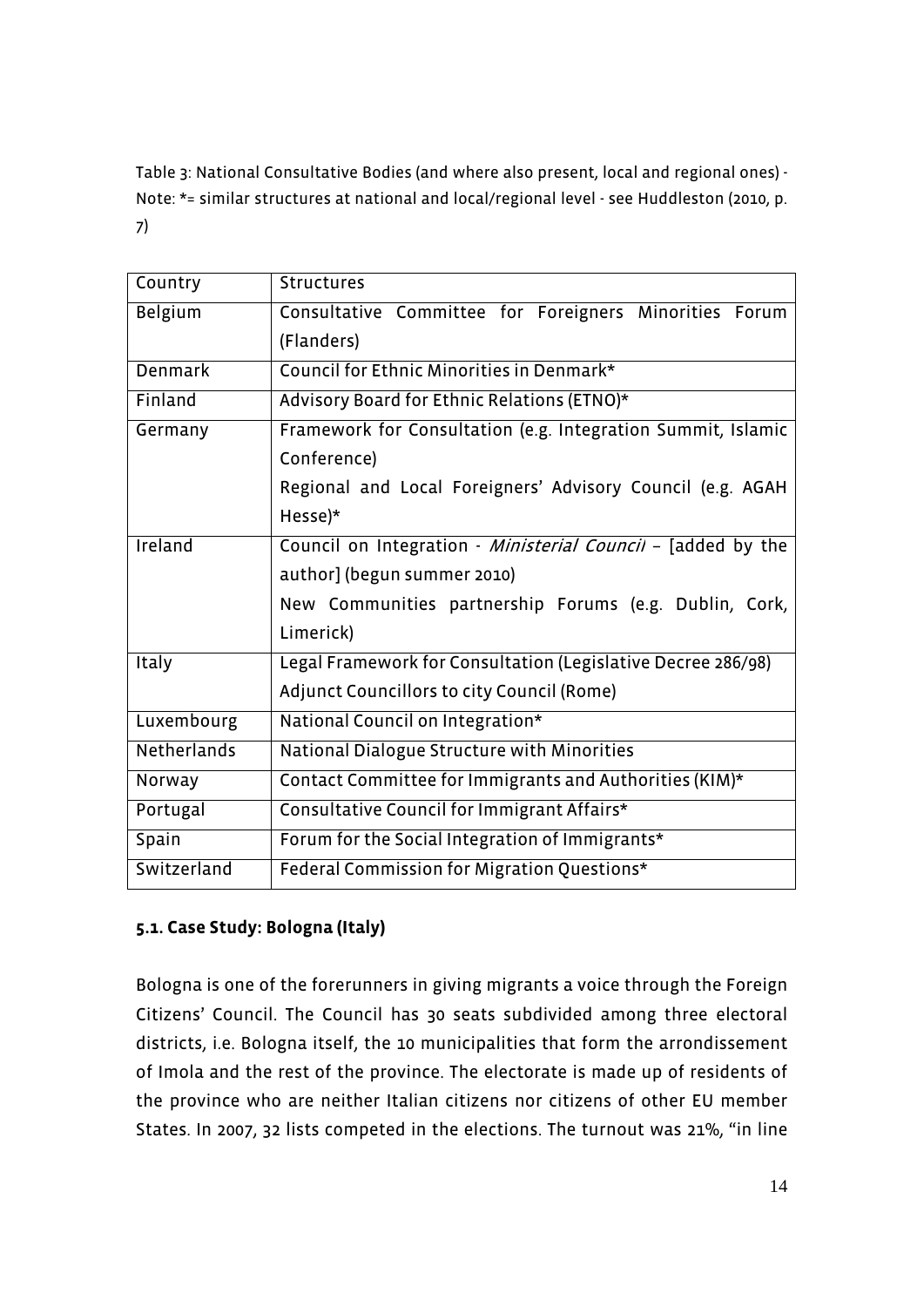Table 3: National Consultative Bodies (and where also present, local and regional ones) - Note: \*= similar structures at national and local/regional level - see Huddleston (2010, p. 7)

| Country        | <b>Structures</b>                                            |  |  |  |  |  |  |  |
|----------------|--------------------------------------------------------------|--|--|--|--|--|--|--|
| Belgium        | Consultative Committee for Foreigners Minorities Forum       |  |  |  |  |  |  |  |
|                | (Flanders)                                                   |  |  |  |  |  |  |  |
| <b>Denmark</b> | Council for Ethnic Minorities in Denmark*                    |  |  |  |  |  |  |  |
| Finland        | Advisory Board for Ethnic Relations (ETNO)*                  |  |  |  |  |  |  |  |
| Germany        | Framework for Consultation (e.g. Integration Summit, Islamic |  |  |  |  |  |  |  |
|                | Conference)                                                  |  |  |  |  |  |  |  |
|                | Regional and Local Foreigners' Advisory Council (e.g. AGAH   |  |  |  |  |  |  |  |
|                | Hesse)*                                                      |  |  |  |  |  |  |  |
| Ireland        | Council on Integration - Ministerial Council - [added by the |  |  |  |  |  |  |  |
|                | author] (begun summer 2010)                                  |  |  |  |  |  |  |  |
|                | New Communities partnership Forums (e.g. Dublin, Cork,       |  |  |  |  |  |  |  |
|                | Limerick)                                                    |  |  |  |  |  |  |  |
| <b>Italy</b>   | Legal Framework for Consultation (Legislative Decree 286/98) |  |  |  |  |  |  |  |
|                | Adjunct Councillors to city Council (Rome)                   |  |  |  |  |  |  |  |
| Luxembourg     | National Council on Integration*                             |  |  |  |  |  |  |  |
| Netherlands    | National Dialogue Structure with Minorities                  |  |  |  |  |  |  |  |
| Norway         | Contact Committee for Immigrants and Authorities (KIM)*      |  |  |  |  |  |  |  |
| Portugal       | Consultative Council for Immigrant Affairs*                  |  |  |  |  |  |  |  |
| Spain          | Forum for the Social Integration of Immigrants*              |  |  |  |  |  |  |  |
| Switzerland    | Federal Commission for Migration Questions*                  |  |  |  |  |  |  |  |

# **5.1. Case Study: Bologna (Italy)**

Bologna is one of the forerunners in giving migrants a voice through the Foreign Citizens' Council. The Council has 30 seats subdivided among three electoral districts, i.e. Bologna itself, the 10 municipalities that form the arrondissement of Imola and the rest of the province. The electorate is made up of residents of the province who are neither Italian citizens nor citizens of other EU member States. In 2007, 32 lists competed in the elections. The turnout was 21%, "in line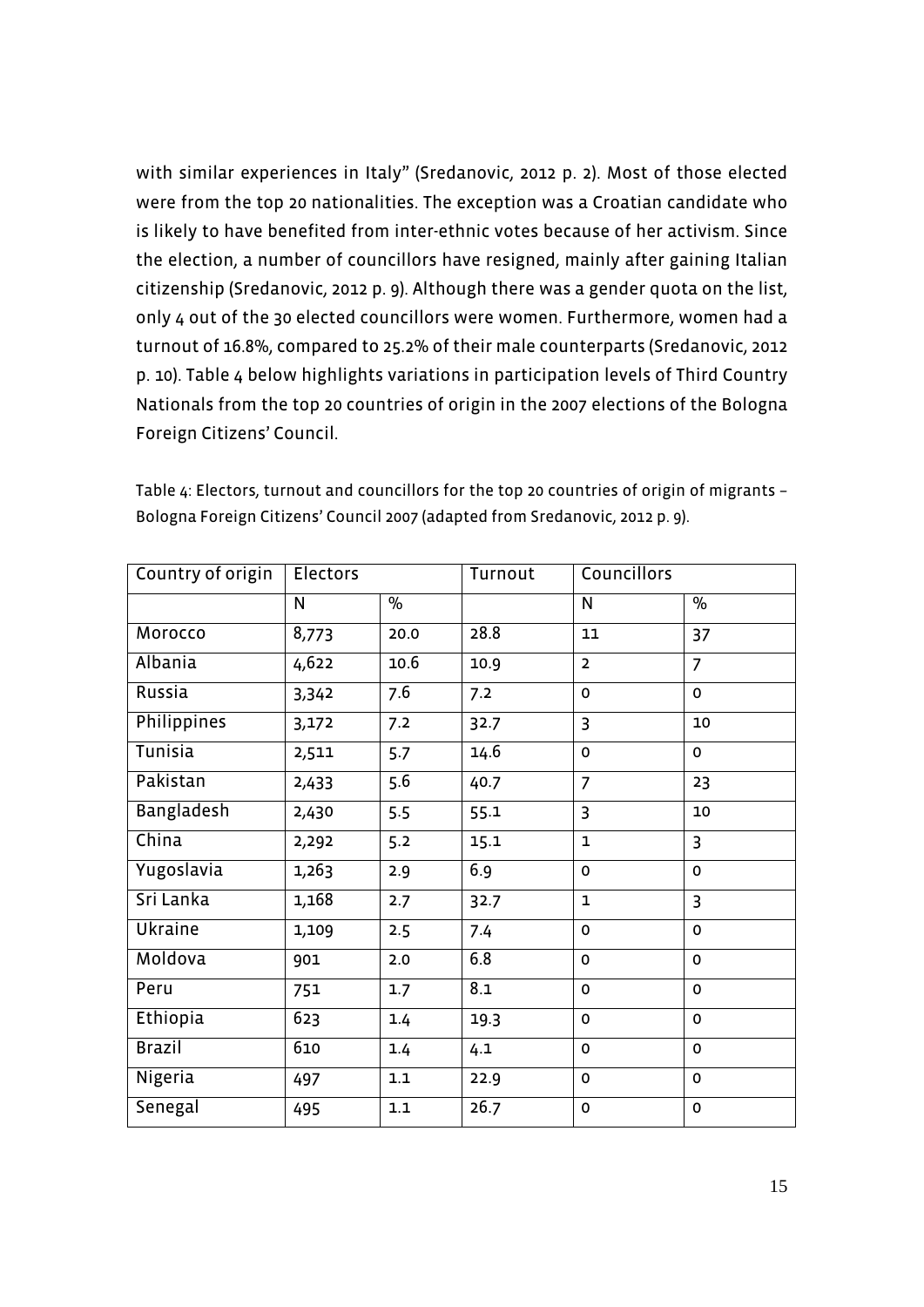with similar experiences in Italy" (Sredanovic, 2012 p. 2). Most of those elected were from the top 20 nationalities. The exception was a Croatian candidate who is likely to have benefited from inter-ethnic votes because of her activism. Since the election, a number of councillors have resigned, mainly after gaining Italian citizenship (Sredanovic, 2012 p. 9). Although there was a gender quota on the list, only 4 out of the 30 elected councillors were women. Furthermore, women had a turnout of 16.8%, compared to 25.2% of their male counterparts (Sredanovic, 2012 p. 10). Table 4 below highlights variations in participation levels of Third Country Nationals from the top 20 countries of origin in the 2007 elections of the Bologna Foreign Citizens' Council.

| Country of origin | <b>Electors</b> |               | Turnout | Councillors    |                |
|-------------------|-----------------|---------------|---------|----------------|----------------|
|                   | N               | $\frac{1}{2}$ |         | N              | $\%$           |
| Morocco           | 8,773           | 20.0          | 28.8    | 11             | 37             |
| Albania           | 4,622           | 10.6          | 10.9    | $\overline{2}$ | $\overline{7}$ |
| Russia            | 3,342           | 7.6           | 7.2     | 0              | $\mathbf 0$    |
| Philippines       | 3,172           | 7.2           | 32.7    | 3              | 10             |
| Tunisia           | 2,511           | 5.7           | 14.6    | 0              | $\mathbf 0$    |
| Pakistan          | 2,433           | 5.6           | 40.7    | $\overline{7}$ | 23             |
| Bangladesh        | 2,430           | 5.5           | 55.1    | 3              | 10             |
| China             | 2,292           | 5.2           | 15.1    | $\mathbf{1}$   | $\overline{3}$ |
| Yugoslavia        | 1,263           | 2.9           | 6.9     | 0              | $\mathbf 0$    |
| Sri Lanka         | 1,168           | 2.7           | 32.7    | $\mathbf{1}$   | $\overline{3}$ |
| Ukraine           | 1,109           | 2.5           | 7.4     | 0              | $\mathbf 0$    |
| Moldova           | 901             | 2.0           | 6.8     | $\Omega$       | $\mathbf 0$    |
| Peru              | 751             | 1.7           | 8.1     | 0              | $\mathbf 0$    |
| Ethiopia          | 623             | 1.4           | 19.3    | 0              | $\mathbf 0$    |
| <b>Brazil</b>     | 610             | 1.4           | 4.1     | 0              | $\mathbf 0$    |
| Nigeria           | 497             | 1.1           | 22.9    | 0              | $\mathbf 0$    |
| Senegal           | 495             | $1.1\,$       | 26.7    | 0              | $\mathbf 0$    |

Table 4: Electors, turnout and councillors for the top 20 countries of origin of migrants – Bologna Foreign Citizens' Council 2007 (adapted from Sredanovic, 2012 p. 9).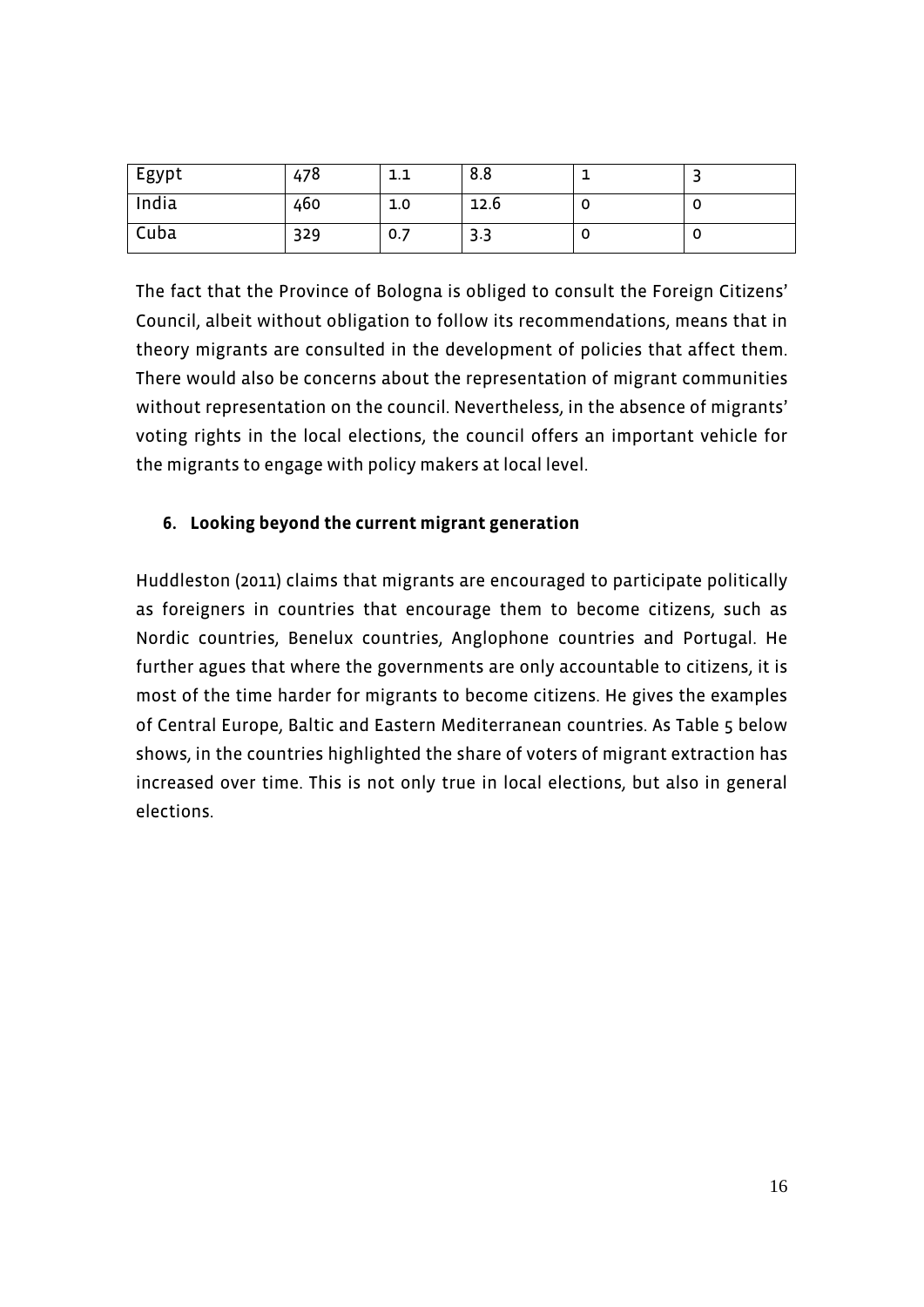| <sup>I</sup> Egypt | 478 | 1.1 | 8.8  |  |
|--------------------|-----|-----|------|--|
| India              | 460 | 1.0 | 12.6 |  |
| Cuba               | 329 | 0.7 | 3.3  |  |

The fact that the Province of Bologna is obliged to consult the Foreign Citizens' Council, albeit without obligation to follow its recommendations, means that in theory migrants are consulted in the development of policies that affect them. There would also be concerns about the representation of migrant communities without representation on the council. Nevertheless, in the absence of migrants' voting rights in the local elections, the council offers an important vehicle for the migrants to engage with policy makers at local level.

# **6. Looking beyond the current migrant generation**

Huddleston (2011) claims that migrants are encouraged to participate politically as foreigners in countries that encourage them to become citizens, such as Nordic countries, Benelux countries, Anglophone countries and Portugal. He further agues that where the governments are only accountable to citizens, it is most of the time harder for migrants to become citizens. He gives the examples of Central Europe, Baltic and Eastern Mediterranean countries. As Table 5 below shows, in the countries highlighted the share of voters of migrant extraction has increased over time. This is not only true in local elections, but also in general elections.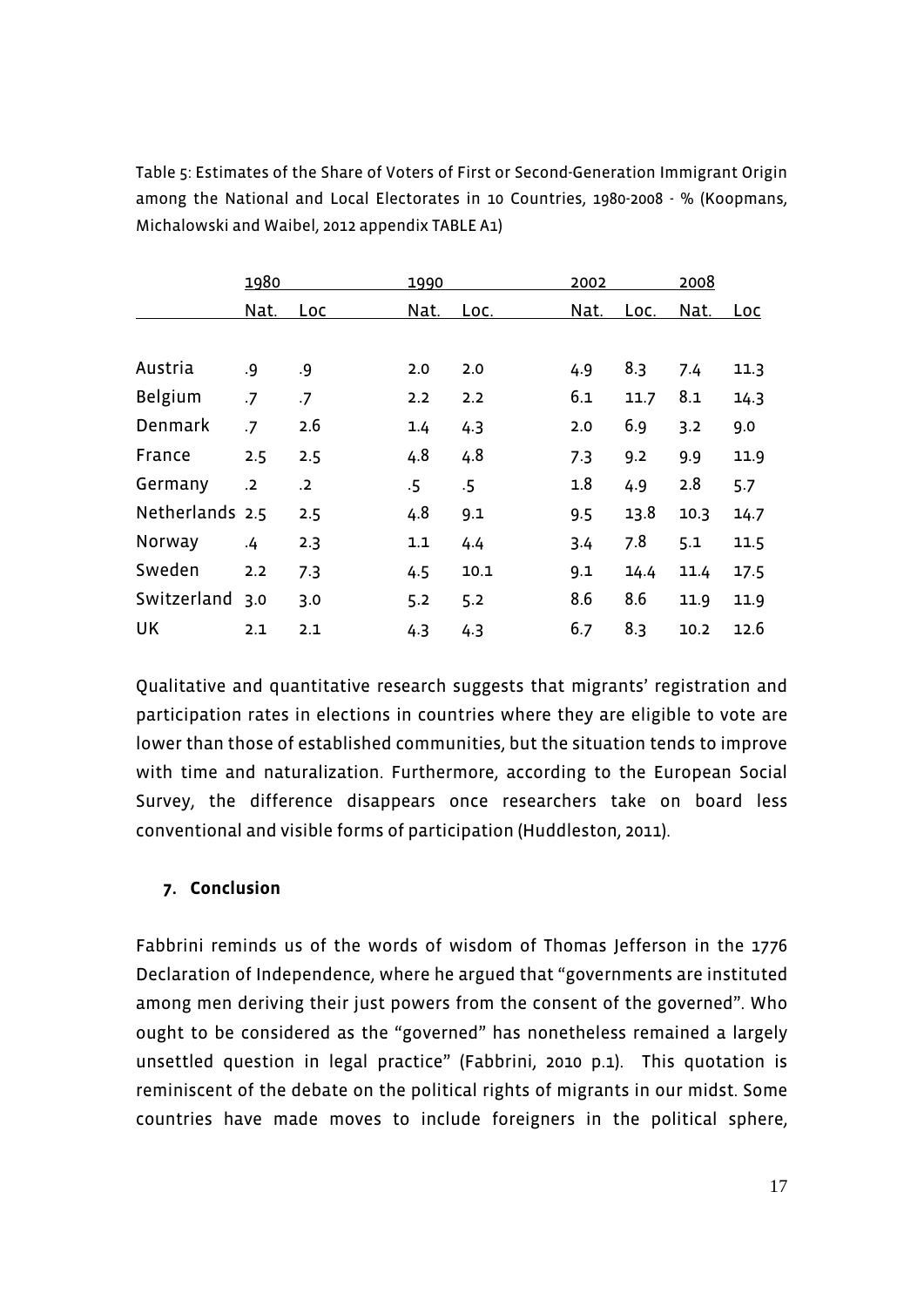|                 | 1980       |                | 1990   |        | 2002 |      | 2008 |            |
|-----------------|------------|----------------|--------|--------|------|------|------|------------|
|                 | Nat.       | <u>Loc</u>     | Nat.   | Loc.   | Nat. | Loc. | Nat. | <u>Loc</u> |
|                 |            |                |        |        |      |      |      |            |
| Austria         | .9         | .9             | 2.0    | 2.0    | 4.9  | 8.3  | 7.4  | 11.3       |
| Belgium         | $\cdot$ 7  | .7             | 2.2    | 2.2    | 6.1  | 11.7 | 8.1  | 14.3       |
| Denmark         | .7         | 2.6            | 1.4    | 4.3    | 2.0  | 6.9  | 3.2  | 9.0        |
| France          | 2.5        | 2.5            | 4.8    | 4.8    | 7.3  | 9.2  | 9.9  | 11.9       |
| Germany         | $\cdot$ .2 | $\overline{2}$ | $.5\,$ | $.5\,$ | 1.8  | 4.9  | 2.8  | 5.7        |
| Netherlands 2.5 |            | 2.5            | 4.8    | 9.1    | 9.5  | 13.8 | 10.3 | 14.7       |
| Norway          | 4.4        | 2.3            | 1.1    | 4.4    | 3.4  | 7.8  | 5.1  | 11.5       |
| Sweden          | 2.2        | 7.3            | 4.5    | 10.1   | 9.1  | 14.4 | 11.4 | 17.5       |
| Switzerland     | 3.0        | 3.0            | 5.2    | 5.2    | 8.6  | 8.6  | 11.9 | 11.9       |
| UK              | 2.1        | 2.1            | 4.3    | 4.3    | 6.7  | 8.3  | 10.2 | 12.6       |

Table 5: Estimates of the Share of Voters of First or Second-Generation Immigrant Origin among the National and Local Electorates in 10 Countries, 1980-2008 - % (Koopmans, Michalowski and Waibel, 2012 appendix TABLE A1)

Qualitative and quantitative research suggests that migrants' registration and participation rates in elections in countries where they are eligible to vote are lower than those of established communities, but the situation tends to improve with time and naturalization. Furthermore, according to the European Social Survey, the difference disappears once researchers take on board less conventional and visible forms of participation (Huddleston, 2011).

## **7. Conclusion**

Fabbrini reminds us of the words of wisdom of Thomas Jefferson in the 1776 Declaration of Independence, where he argued that "governments are instituted among men deriving their just powers from the consent of the governed". Who ought to be considered as the "governed" has nonetheless remained a largely unsettled question in legal practice" (Fabbrini, 2010 p.1). This quotation is reminiscent of the debate on the political rights of migrants in our midst. Some countries have made moves to include foreigners in the political sphere,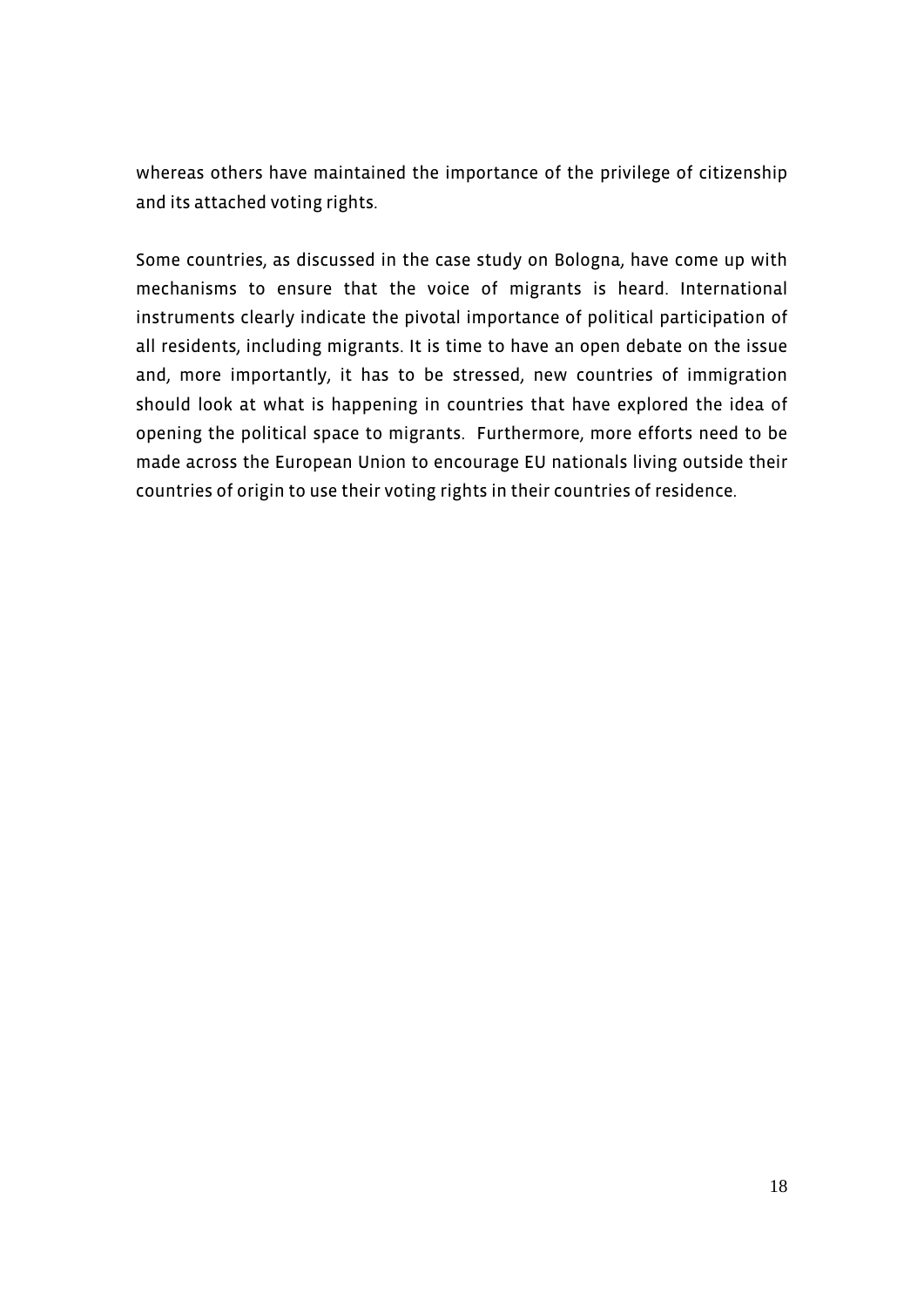whereas others have maintained the importance of the privilege of citizenship and its attached voting rights.

Some countries, as discussed in the case study on Bologna, have come up with mechanisms to ensure that the voice of migrants is heard. International instruments clearly indicate the pivotal importance of political participation of all residents, including migrants. It is time to have an open debate on the issue and, more importantly, it has to be stressed, new countries of immigration should look at what is happening in countries that have explored the idea of opening the political space to migrants. Furthermore, more efforts need to be made across the European Union to encourage EU nationals living outside their countries of origin to use their voting rights in their countries of residence.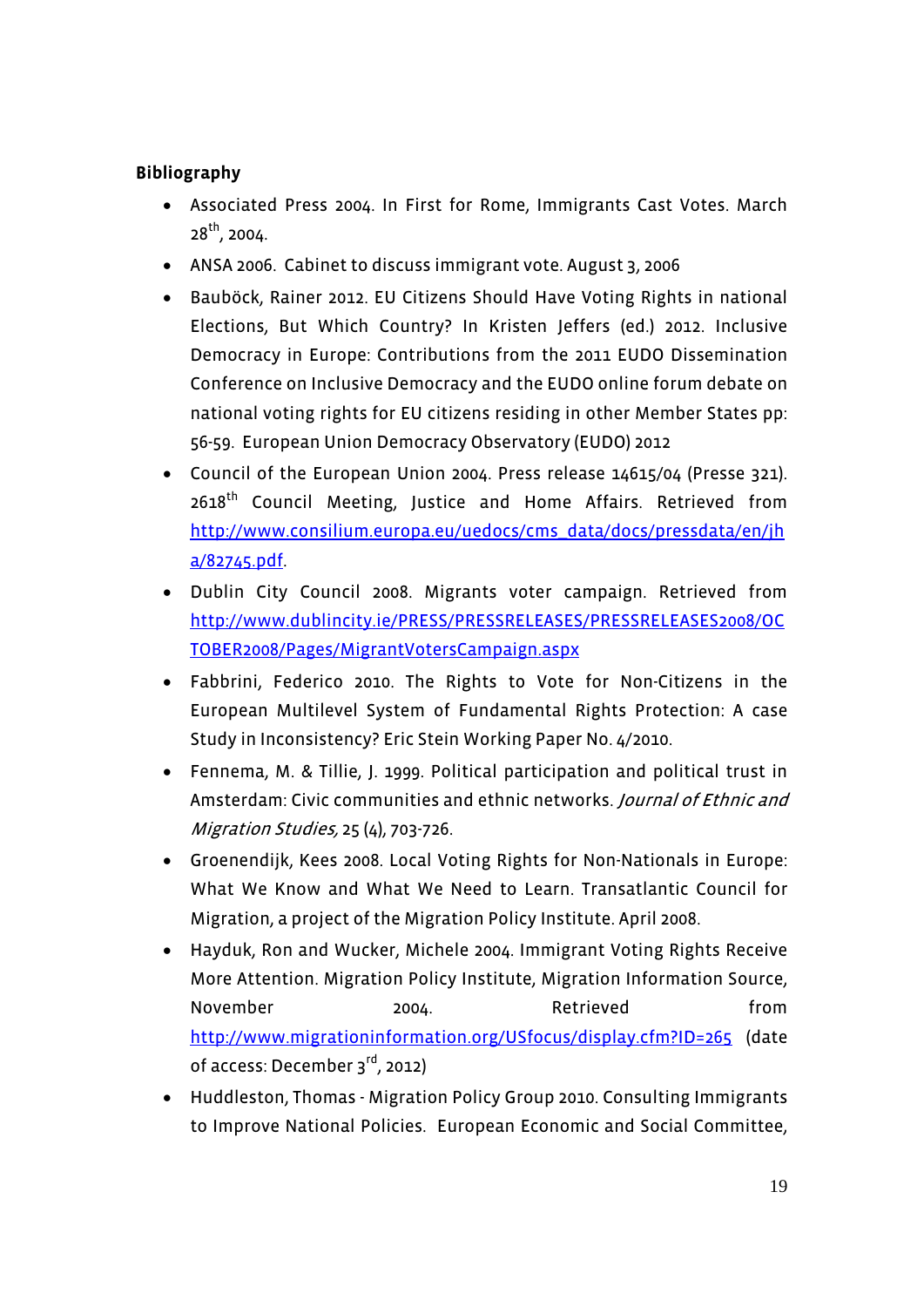# **Bibliography**

- Associated Press 2004. In First for Rome, Immigrants Cast Votes. March  $28^{th}$ , 2004.
- ANSA 2006. Cabinet to discuss immigrant vote. August 3, 2006
- Bauböck, Rainer 2012. EU Citizens Should Have Voting Rights in national Elections, But Which Country? In Kristen Jeffers (ed.) 2012. Inclusive Democracy in Europe: Contributions from the 2011 EUDO Dissemination Conference on Inclusive Democracy and the EUDO online forum debate on national voting rights for EU citizens residing in other Member States pp: 56-59. European Union Democracy Observatory (EUDO) 2012
- Council of the European Union 2004. Press release 14615/04 (Presse 321).  $2618<sup>th</sup>$  Council Meeting, Justice and Home Affairs. Retrieved from http://www.consilium.europa.eu/uedocs/cms\_data/docs/pressdata/en/jh a/82745.pdf.
- Dublin City Council 2008. Migrants voter campaign. Retrieved from http://www.dublincity.ie/PRESS/PRESSRELEASES/PRESSRELEASES2008/OC TOBER2008/Pages/MigrantVotersCampaign.aspx
- Fabbrini, Federico 2010. The Rights to Vote for Non-Citizens in the European Multilevel System of Fundamental Rights Protection: A case Study in Inconsistency? Eric Stein Working Paper No. 4/2010.
- Fennema, M. & Tillie, J. 1999. Political participation and political trust in Amsterdam: Civic communities and ethnic networks. *Journal of Ethnic and* Migration Studies, 25 (4), 703-726.
- Groenendijk, Kees 2008. Local Voting Rights for Non-Nationals in Europe: What We Know and What We Need to Learn. Transatlantic Council for Migration, a project of the Migration Policy Institute. April 2008.
- Hayduk, Ron and Wucker, Michele 2004. Immigrant Voting Rights Receive More Attention. Migration Policy Institute, Migration Information Source, November 2004. Retrieved from http://www.migrationinformation.org/USfocus/display.cfm?ID=265 (date of access: December 3rd, 2012)
- Huddleston, Thomas Migration Policy Group 2010. Consulting Immigrants to Improve National Policies. European Economic and Social Committee,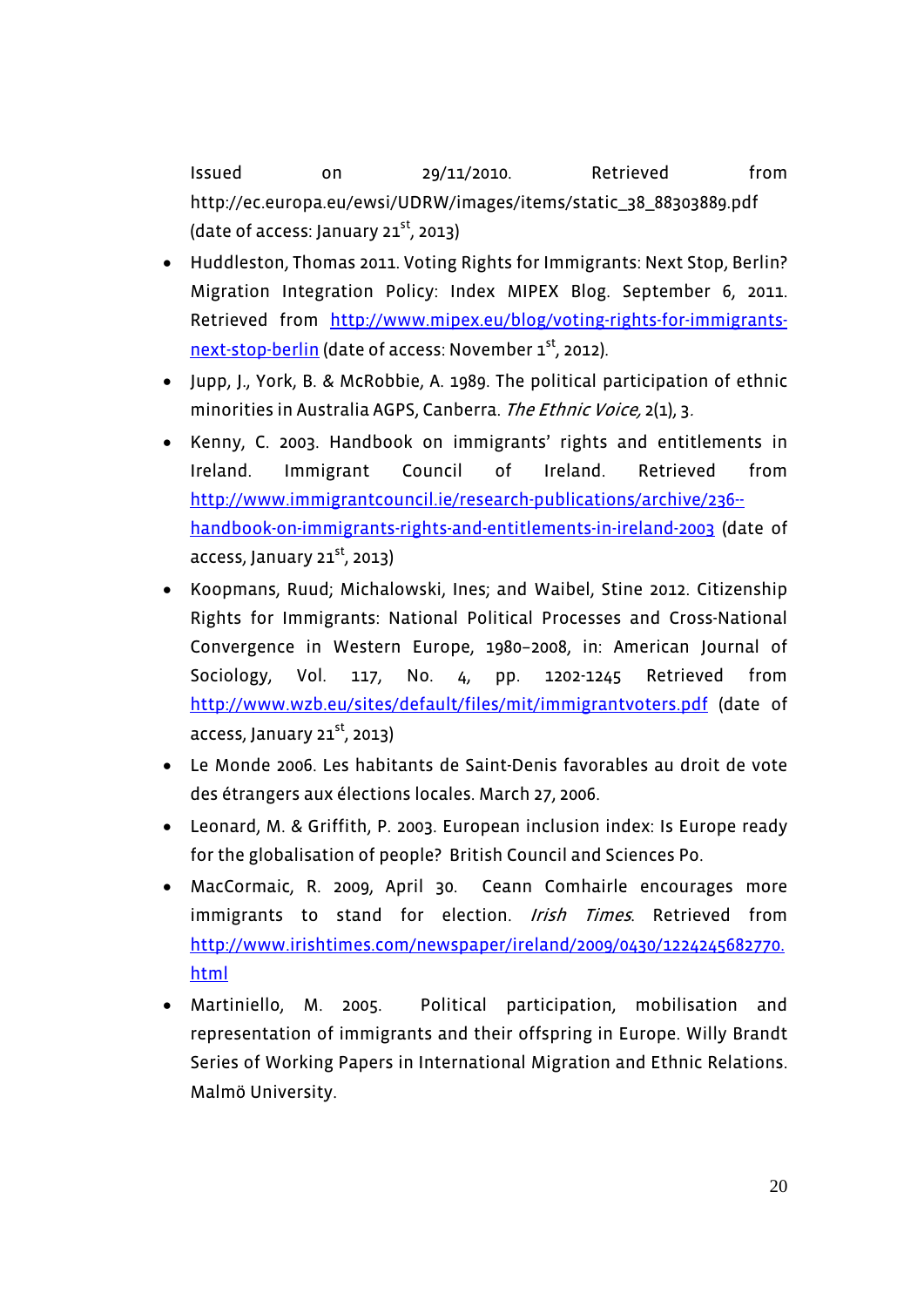Issued on 29/11/2010. Retrieved from http://ec.europa.eu/ewsi/UDRW/images/items/static\_38\_88303889.pdf (date of access: January  $21^{st}$ , 2013)

- Huddleston, Thomas 2011. Voting Rights for Immigrants: Next Stop, Berlin? Migration Integration Policy: Index MIPEX Blog. September 6, 2011. Retrieved from http://www.mipex.eu/blog/voting-rights-for-immigrantsnext-stop-berlin (date of access: November 1<sup>st</sup>, 2012).
- Jupp, J., York, B. & McRobbie, A. 1989. The political participation of ethnic minorities in Australia AGPS, Canberra. The Ethnic Voice, 2(1), 3.
- Kenny, C. 2003. Handbook on immigrants' rights and entitlements in Ireland. Immigrant Council of Ireland. Retrieved from http://www.immigrantcouncil.ie/research-publications/archive/236- handbook-on-immigrants-rights-and-entitlements-in-ireland-2003 (date of access, January  $21^{st}$ , 2013)
- Koopmans, Ruud; Michalowski, Ines; and Waibel, Stine 2012. Citizenship Rights for Immigrants: National Political Processes and Cross-National Convergence in Western Europe, 1980–2008, in: American Journal of Sociology, Vol. 117, No. 4, pp. 1202-1245 Retrieved from http://www.wzb.eu/sites/default/files/mit/immigrantvoters.pdf (date of access, January 21 $^{\rm st}$ , 2013)
- Le Monde 2006. Les habitants de Saint-Denis favorables au droit de vote des étrangers aux élections locales. March 27, 2006.
- Leonard, M. & Griffith, P. 2003. European inclusion index: Is Europe ready for the globalisation of people? British Council and Sciences Po.
- MacCormaic, R. 2009, April 30. Ceann Comhairle encourages more immigrants to stand for election. Irish Times. Retrieved from http://www.irishtimes.com/newspaper/ireland/2009/0430/1224245682770. html
- Martiniello, M. 2005. Political participation, mobilisation and representation of immigrants and their offspring in Europe. Willy Brandt Series of Working Papers in International Migration and Ethnic Relations. Malmö University.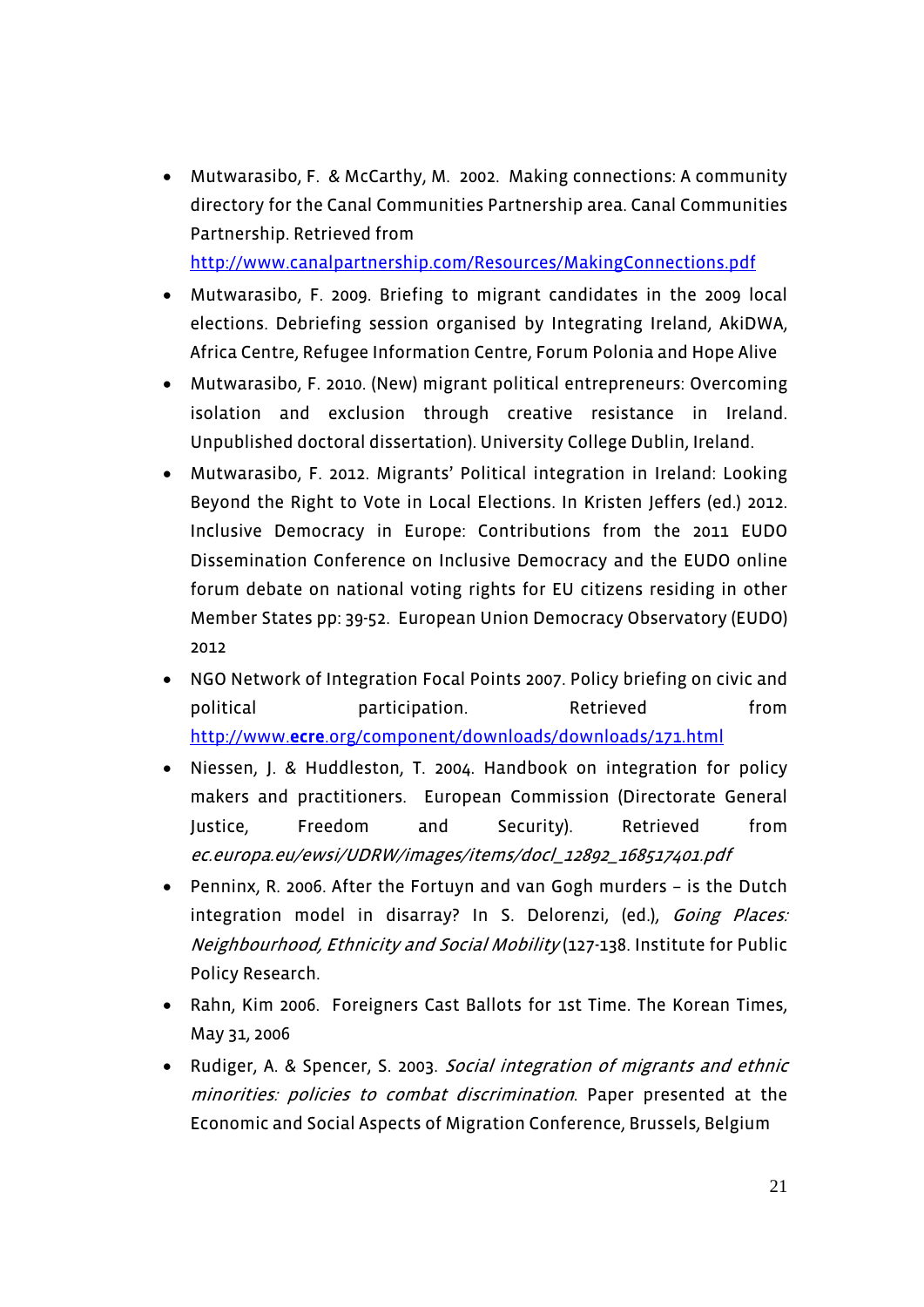Mutwarasibo, F. & McCarthy, M. 2002. Making connections: A community directory for the Canal Communities Partnership area. Canal Communities Partnership. Retrieved from

http://www.canalpartnership.com/Resources/MakingConnections.pdf

- Mutwarasibo, F. 2009. Briefing to migrant candidates in the 2009 local elections. Debriefing session organised by Integrating Ireland, AkiDWA, Africa Centre, Refugee Information Centre, Forum Polonia and Hope Alive
- Mutwarasibo, F. 2010. (New) migrant political entrepreneurs: Overcoming isolation and exclusion through creative resistance in Ireland. Unpublished doctoral dissertation). University College Dublin, Ireland.
- Mutwarasibo, F. 2012. Migrants' Political integration in Ireland: Looking Beyond the Right to Vote in Local Elections. In Kristen Jeffers (ed.) 2012. Inclusive Democracy in Europe: Contributions from the 2011 EUDO Dissemination Conference on Inclusive Democracy and the EUDO online forum debate on national voting rights for EU citizens residing in other Member States pp: 39-52. European Union Democracy Observatory (EUDO) 2012
- NGO Network of Integration Focal Points 2007. Policy briefing on civic and political participation. Retrieved from http://www.**ecre**.org/component/downloads/downloads/171.html
- Niessen, J. & Huddleston, T. 2004. Handbook on integration for policy makers and practitioners. European Commission (Directorate General Justice, Freedom and Security). Retrieved from ec.europa.eu/ewsi/UDRW/images/items/docl\_12892\_168517401.pdf
- Penninx, R. 2006. After the Fortuyn and van Gogh murders is the Dutch integration model in disarray? In S. Delorenzi, (ed.), Going Places: Neighbourhood, Ethnicity and Social Mobility (127-138. Institute for Public Policy Research.
- Rahn, Kim 2006. Foreigners Cast Ballots for 1st Time. The Korean Times, May 31, 2006
- Rudiger, A. & Spencer, S. 2003. Social integration of migrants and ethnic minorities: policies to combat discrimination. Paper presented at the Economic and Social Aspects of Migration Conference, Brussels, Belgium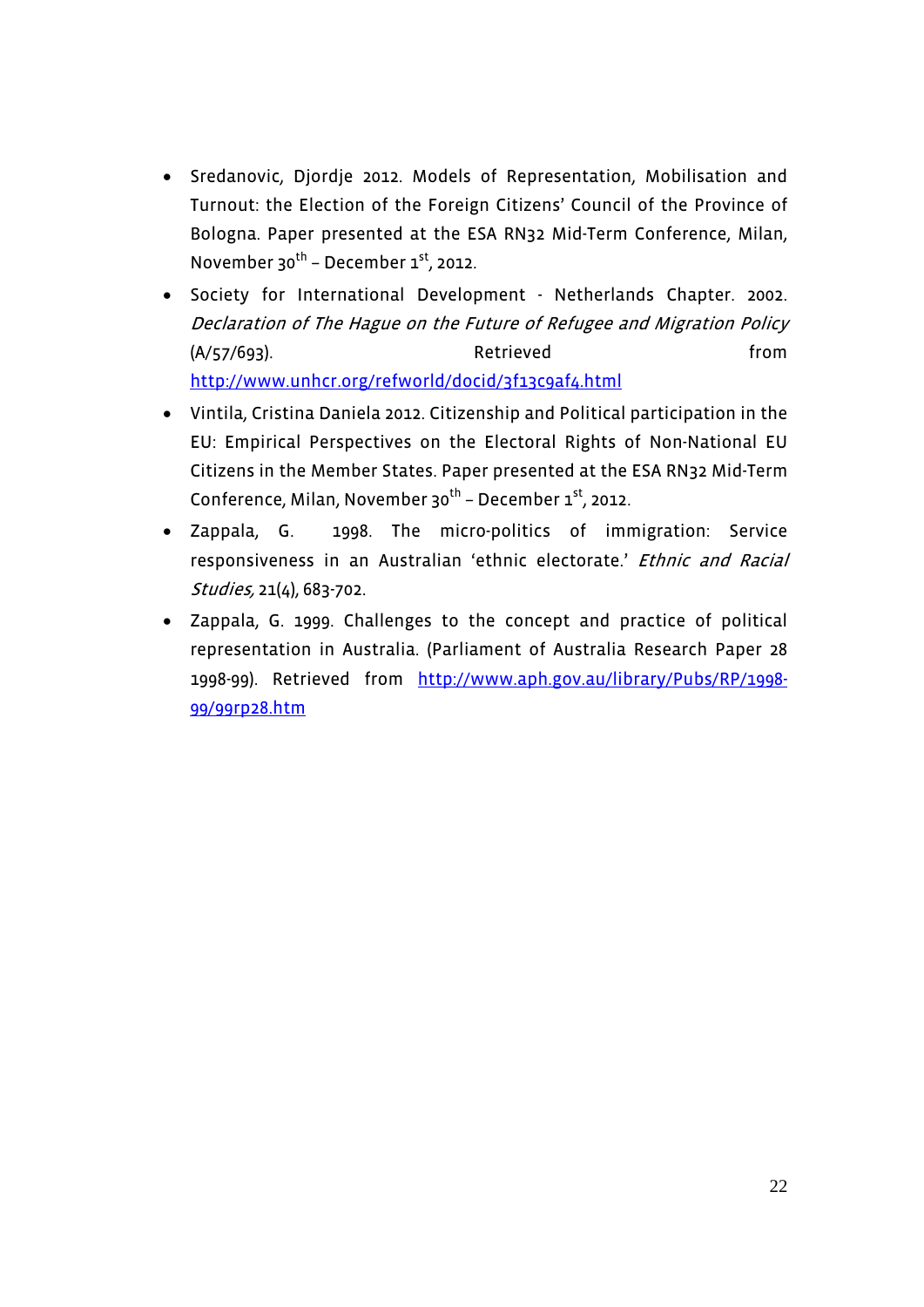- Sredanovic, Djordje 2012. Models of Representation, Mobilisation and Turnout: the Election of the Foreign Citizens' Council of the Province of Bologna. Paper presented at the ESA RN32 Mid-Term Conference, Milan, November 30<sup>th</sup> – December  $1<sup>st</sup>$ , 2012.
- Society for International Development Netherlands Chapter. 2002. Declaration of The Hague on the Future of Refugee and Migration Policy (A/57/693). Retrieved from http://www.unhcr.org/refworld/docid/3f13c9af4.html
- Vintila, Cristina Daniela 2012. Citizenship and Political participation in the EU: Empirical Perspectives on the Electoral Rights of Non-National EU Citizens in the Member States. Paper presented at the ESA RN32 Mid-Term Conference, Milan, November  $30^{th}$  – December  $1^{st}$ , 2012.
- Zappala, G. 1998. The micro-politics of immigration: Service responsiveness in an Australian 'ethnic electorate.' Ethnic and Racial Studies, 21(4), 683-702.
- Zappala, G. 1999. Challenges to the concept and practice of political representation in Australia. (Parliament of Australia Research Paper 28 1998-99). Retrieved from http://www.aph.gov.au/library/Pubs/RP/1998- 99/99rp28.htm